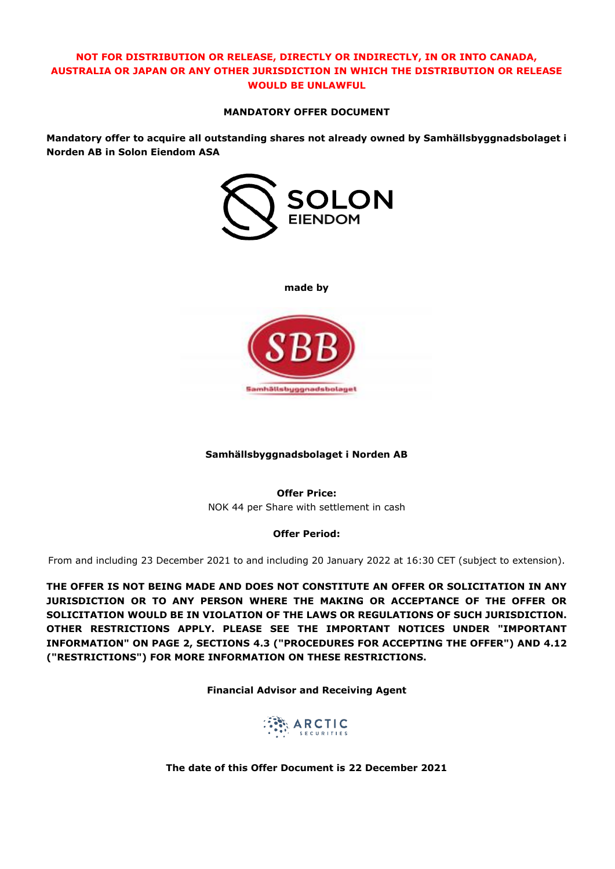# **NOT FOR DISTRIBUTION OR RELEASE, DIRECTLY OR INDIRECTLY, IN OR INTO CANADA, AUSTRALIA OR JAPAN OR ANY OTHER JURISDICTION IN WHICH THE DISTRIBUTION OR RELEASE WOULD BE UNLAWFUL**

#### **MANDATORY OFFER DOCUMENT**

**Mandatory offer to acquire all outstanding shares not already owned by Samhällsbyggnadsbolaget i Norden AB in Solon Eiendom ASA**



**made by**



#### **Samhällsbyggnadsbolaget i Norden AB**

**Offer Price:** NOK 44 per Share with settlement in cash

#### **Offer Period:**

From and including 23 December 2021 to and including 20 January 2022 at 16:30 CET (subject to extension).

**THE OFFER IS NOT BEING MADE AND DOES NOT CONSTITUTE AN OFFER OR SOLICITATION IN ANY JURISDICTION OR TO ANY PERSON WHERE THE MAKING OR ACCEPTANCE OF THE OFFER OR SOLICITATION WOULD BE IN VIOLATION OF THE LAWS OR REGULATIONS OF SUCH JURISDICTION. OTHER RESTRICTIONS APPLY. PLEASE SEE THE IMPORTANT NOTICES UNDER "IMPORTANT INFORMATION" ON PAGE 2, SECTIONS [4.3](#page-13-0) ("PROCEDURES FOR ACCEPTING THE OFFER") AND [4.12](#page-16-0) ("RESTRICTIONS") FOR MORE INFORMATION ON THESE RESTRICTIONS.** 

**Financial Advisor and Receiving Agent**



**The date of this Offer Document is 22 December 2021**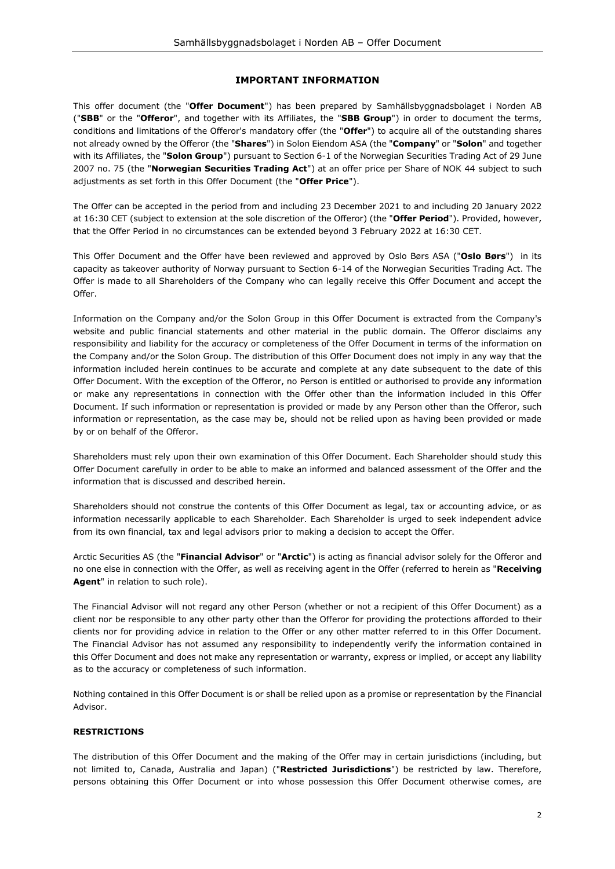#### **IMPORTANT INFORMATION**

This offer document (the "**Offer Document**") has been prepared by Samhällsbyggnadsbolaget i Norden AB ("**SBB**" or the "**Offeror**", and together with its Affiliates, the "**SBB Group**") in order to document the terms, conditions and limitations of the Offeror's mandatory offer (the "**Offer**") to acquire all of the outstanding shares not already owned by the Offeror (the "**Shares**") in Solon Eiendom ASA (the "**Company**" or "**Solon**" and together with its Affiliates, the "**Solon Group**") pursuant to Section 6-1 of the Norwegian Securities Trading Act of 29 June 2007 no. 75 (the "**Norwegian Securities Trading Act**") at an offer price per Share of NOK 44 subject to such adjustments as set forth in this Offer Document (the "**Offer Price**").

The Offer can be accepted in the period from and including 23 December 2021 to and including 20 January 2022 at 16:30 CET (subject to extension at the sole discretion of the Offeror) (the "**Offer Period**"). Provided, however, that the Offer Period in no circumstances can be extended beyond 3 February 2022 at 16:30 CET.

This Offer Document and the Offer have been reviewed and approved by Oslo Børs ASA ("**Oslo Børs**") in its capacity as takeover authority of Norway pursuant to Section 6-14 of the Norwegian Securities Trading Act. The Offer is made to all Shareholders of the Company who can legally receive this Offer Document and accept the Offer.

Information on the Company and/or the Solon Group in this Offer Document is extracted from the Company's website and public financial statements and other material in the public domain. The Offeror disclaims any responsibility and liability for the accuracy or completeness of the Offer Document in terms of the information on the Company and/or the Solon Group. The distribution of this Offer Document does not imply in any way that the information included herein continues to be accurate and complete at any date subsequent to the date of this Offer Document. With the exception of the Offeror, no Person is entitled or authorised to provide any information or make any representations in connection with the Offer other than the information included in this Offer Document. If such information or representation is provided or made by any Person other than the Offeror, such information or representation, as the case may be, should not be relied upon as having been provided or made by or on behalf of the Offeror.

Shareholders must rely upon their own examination of this Offer Document. Each Shareholder should study this Offer Document carefully in order to be able to make an informed and balanced assessment of the Offer and the information that is discussed and described herein.

Shareholders should not construe the contents of this Offer Document as legal, tax or accounting advice, or as information necessarily applicable to each Shareholder. Each Shareholder is urged to seek independent advice from its own financial, tax and legal advisors prior to making a decision to accept the Offer.

Arctic Securities AS (the "**Financial Advisor**" or "**Arctic**") is acting as financial advisor solely for the Offeror and no one else in connection with the Offer, as well as receiving agent in the Offer (referred to herein as "**Receiving Agent**" in relation to such role).

The Financial Advisor will not regard any other Person (whether or not a recipient of this Offer Document) as a client nor be responsible to any other party other than the Offeror for providing the protections afforded to their clients nor for providing advice in relation to the Offer or any other matter referred to in this Offer Document. The Financial Advisor has not assumed any responsibility to independently verify the information contained in this Offer Document and does not make any representation or warranty, express or implied, or accept any liability as to the accuracy or completeness of such information.

Nothing contained in this Offer Document is or shall be relied upon as a promise or representation by the Financial Advisor.

#### **RESTRICTIONS**

The distribution of this Offer Document and the making of the Offer may in certain jurisdictions (including, but not limited to, Canada, Australia and Japan) ("**Restricted Jurisdictions**") be restricted by law. Therefore, persons obtaining this Offer Document or into whose possession this Offer Document otherwise comes, are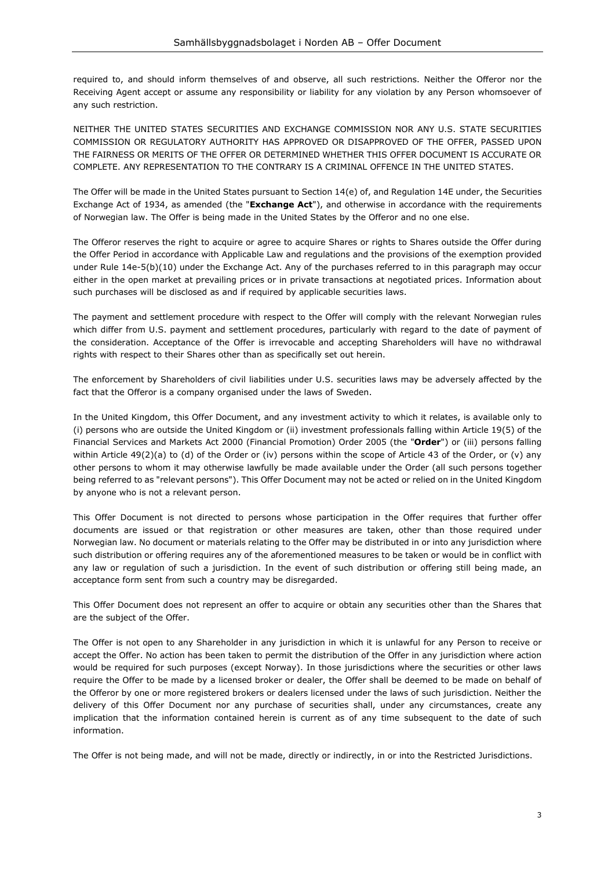required to, and should inform themselves of and observe, all such restrictions. Neither the Offeror nor the Receiving Agent accept or assume any responsibility or liability for any violation by any Person whomsoever of any such restriction.

NEITHER THE UNITED STATES SECURITIES AND EXCHANGE COMMISSION NOR ANY U.S. STATE SECURITIES COMMISSION OR REGULATORY AUTHORITY HAS APPROVED OR DISAPPROVED OF THE OFFER, PASSED UPON THE FAIRNESS OR MERITS OF THE OFFER OR DETERMINED WHETHER THIS OFFER DOCUMENT IS ACCURATE OR COMPLETE. ANY REPRESENTATION TO THE CONTRARY IS A CRIMINAL OFFENCE IN THE UNITED STATES.

The Offer will be made in the United States pursuant to Section 14(e) of, and Regulation 14E under, the Securities Exchange Act of 1934, as amended (the "**Exchange Act**"), and otherwise in accordance with the requirements of Norwegian law. The Offer is being made in the United States by the Offeror and no one else.

The Offeror reserves the right to acquire or agree to acquire Shares or rights to Shares outside the Offer during the Offer Period in accordance with Applicable Law and regulations and the provisions of the exemption provided under Rule 14e-5(b)(10) under the Exchange Act. Any of the purchases referred to in this paragraph may occur either in the open market at prevailing prices or in private transactions at negotiated prices. Information about such purchases will be disclosed as and if required by applicable securities laws.

The payment and settlement procedure with respect to the Offer will comply with the relevant Norwegian rules which differ from U.S. payment and settlement procedures, particularly with regard to the date of payment of the consideration. Acceptance of the Offer is irrevocable and accepting Shareholders will have no withdrawal rights with respect to their Shares other than as specifically set out herein.

The enforcement by Shareholders of civil liabilities under U.S. securities laws may be adversely affected by the fact that the Offeror is a company organised under the laws of Sweden.

In the United Kingdom, this Offer Document, and any investment activity to which it relates, is available only to (i) persons who are outside the United Kingdom or (ii) investment professionals falling within Article 19(5) of the Financial Services and Markets Act 2000 (Financial Promotion) Order 2005 (the "**Order**") or (iii) persons falling within Article 49(2)(a) to (d) of the Order or (iv) persons within the scope of Article 43 of the Order, or (v) any other persons to whom it may otherwise lawfully be made available under the Order (all such persons together being referred to as "relevant persons"). This Offer Document may not be acted or relied on in the United Kingdom by anyone who is not a relevant person.

This Offer Document is not directed to persons whose participation in the Offer requires that further offer documents are issued or that registration or other measures are taken, other than those required under Norwegian law. No document or materials relating to the Offer may be distributed in or into any jurisdiction where such distribution or offering requires any of the aforementioned measures to be taken or would be in conflict with any law or regulation of such a jurisdiction. In the event of such distribution or offering still being made, an acceptance form sent from such a country may be disregarded.

This Offer Document does not represent an offer to acquire or obtain any securities other than the Shares that are the subject of the Offer.

The Offer is not open to any Shareholder in any jurisdiction in which it is unlawful for any Person to receive or accept the Offer. No action has been taken to permit the distribution of the Offer in any jurisdiction where action would be required for such purposes (except Norway). In those jurisdictions where the securities or other laws require the Offer to be made by a licensed broker or dealer, the Offer shall be deemed to be made on behalf of the Offeror by one or more registered brokers or dealers licensed under the laws of such jurisdiction. Neither the delivery of this Offer Document nor any purchase of securities shall, under any circumstances, create any implication that the information contained herein is current as of any time subsequent to the date of such information.

The Offer is not being made, and will not be made, directly or indirectly, in or into the Restricted Jurisdictions.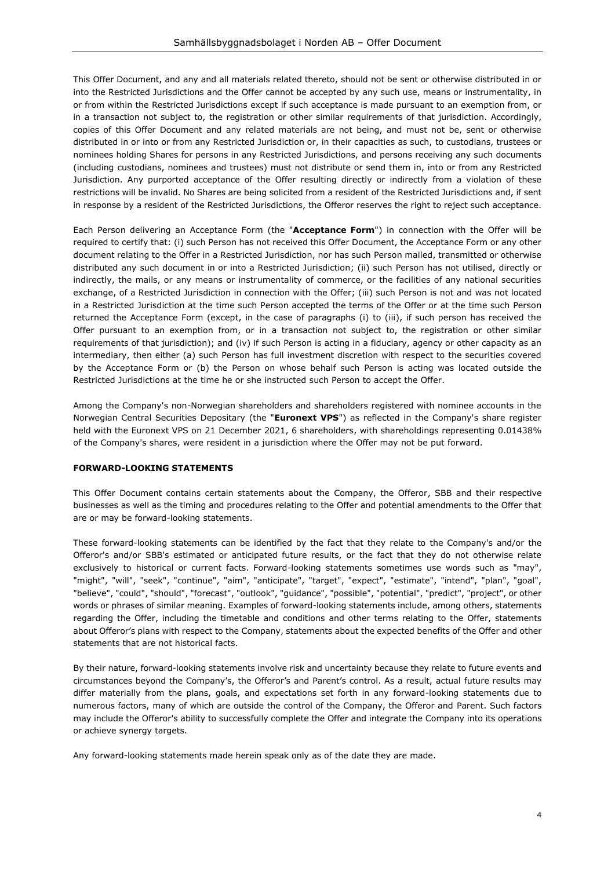This Offer Document, and any and all materials related thereto, should not be sent or otherwise distributed in or into the Restricted Jurisdictions and the Offer cannot be accepted by any such use, means or instrumentality, in or from within the Restricted Jurisdictions except if such acceptance is made pursuant to an exemption from, or in a transaction not subject to, the registration or other similar requirements of that jurisdiction. Accordingly, copies of this Offer Document and any related materials are not being, and must not be, sent or otherwise distributed in or into or from any Restricted Jurisdiction or, in their capacities as such, to custodians, trustees or nominees holding Shares for persons in any Restricted Jurisdictions, and persons receiving any such documents (including custodians, nominees and trustees) must not distribute or send them in, into or from any Restricted Jurisdiction. Any purported acceptance of the Offer resulting directly or indirectly from a violation of these restrictions will be invalid. No Shares are being solicited from a resident of the Restricted Jurisdictions and, if sent in response by a resident of the Restricted Jurisdictions, the Offeror reserves the right to reject such acceptance.

Each Person delivering an Acceptance Form (the "**Acceptance Form**") in connection with the Offer will be required to certify that: (i) such Person has not received this Offer Document, the Acceptance Form or any other document relating to the Offer in a Restricted Jurisdiction, nor has such Person mailed, transmitted or otherwise distributed any such document in or into a Restricted Jurisdiction; (ii) such Person has not utilised, directly or indirectly, the mails, or any means or instrumentality of commerce, or the facilities of any national securities exchange, of a Restricted Jurisdiction in connection with the Offer; (iii) such Person is not and was not located in a Restricted Jurisdiction at the time such Person accepted the terms of the Offer or at the time such Person returned the Acceptance Form (except, in the case of paragraphs (i) to (iii), if such person has received the Offer pursuant to an exemption from, or in a transaction not subject to, the registration or other similar requirements of that jurisdiction); and (iv) if such Person is acting in a fiduciary, agency or other capacity as an intermediary, then either (a) such Person has full investment discretion with respect to the securities covered by the Acceptance Form or (b) the Person on whose behalf such Person is acting was located outside the Restricted Jurisdictions at the time he or she instructed such Person to accept the Offer.

Among the Company's non-Norwegian shareholders and shareholders registered with nominee accounts in the Norwegian Central Securities Depositary (the "**Euronext VPS**") as reflected in the Company's share register held with the Euronext VPS on 21 December 2021, 6 shareholders, with shareholdings representing 0.01438% of the Company's shares, were resident in a jurisdiction where the Offer may not be put forward.

#### **FORWARD-LOOKING STATEMENTS**

This Offer Document contains certain statements about the Company, the Offeror, SBB and their respective businesses as well as the timing and procedures relating to the Offer and potential amendments to the Offer that are or may be forward-looking statements.

These forward-looking statements can be identified by the fact that they relate to the Company's and/or the Offeror's and/or SBB's estimated or anticipated future results, or the fact that they do not otherwise relate exclusively to historical or current facts. Forward-looking statements sometimes use words such as "may", "might", "will", "seek", "continue", "aim", "anticipate", "target", "expect", "estimate", "intend", "plan", "goal", "believe", "could", "should", "forecast", "outlook", "guidance", "possible", "potential", "predict", "project", or other words or phrases of similar meaning. Examples of forward-looking statements include, among others, statements regarding the Offer, including the timetable and conditions and other terms relating to the Offer, statements about Offeror's plans with respect to the Company, statements about the expected benefits of the Offer and other statements that are not historical facts.

By their nature, forward-looking statements involve risk and uncertainty because they relate to future events and circumstances beyond the Company's, the Offeror's and Parent's control. As a result, actual future results may differ materially from the plans, goals, and expectations set forth in any forward-looking statements due to numerous factors, many of which are outside the control of the Company, the Offeror and Parent. Such factors may include the Offeror's ability to successfully complete the Offer and integrate the Company into its operations or achieve synergy targets.

Any forward-looking statements made herein speak only as of the date they are made.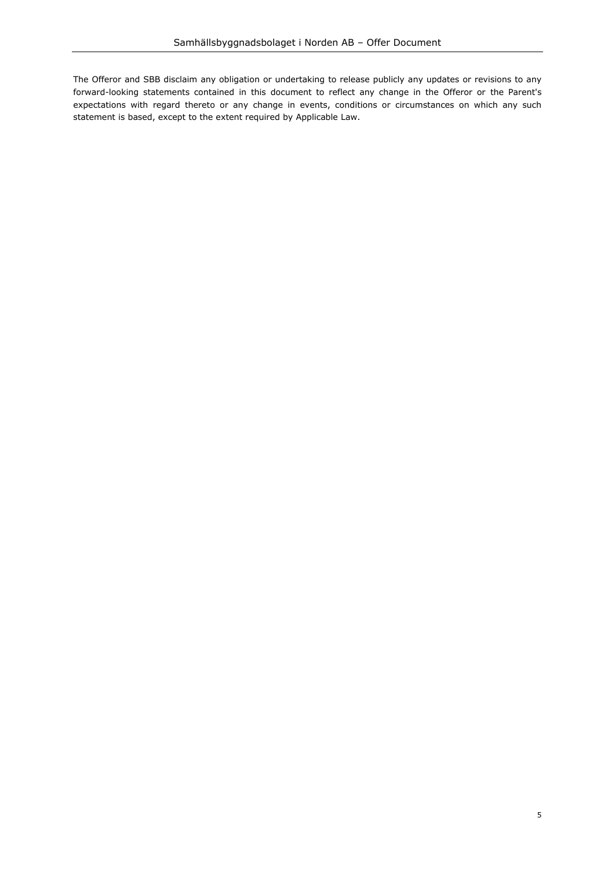The Offeror and SBB disclaim any obligation or undertaking to release publicly any updates or revisions to any forward-looking statements contained in this document to reflect any change in the Offeror or the Parent's expectations with regard thereto or any change in events, conditions or circumstances on which any such statement is based, except to the extent required by Applicable Law.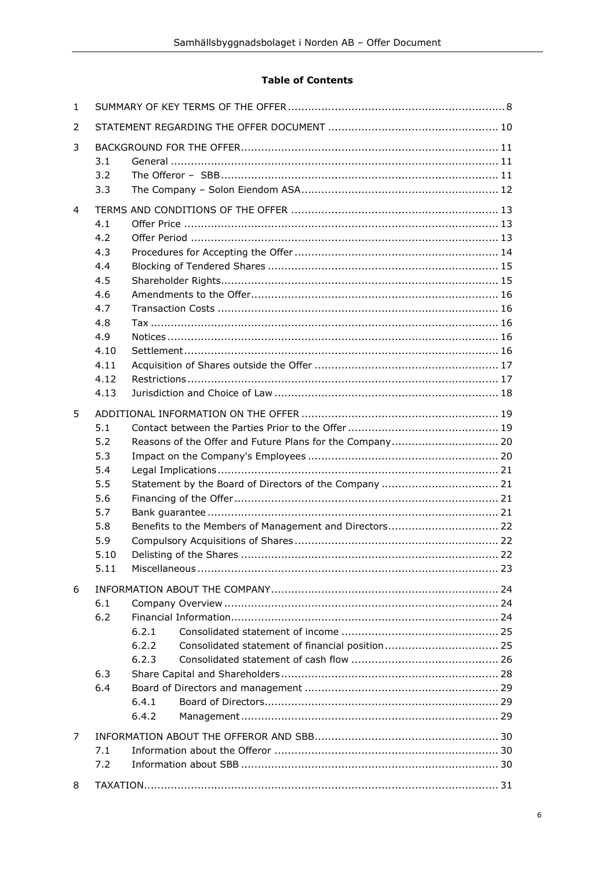# **Table of Contents**

| $\mathbf{1}$   |                                                                                                                                                                                                   |  |  |  |  |  |
|----------------|---------------------------------------------------------------------------------------------------------------------------------------------------------------------------------------------------|--|--|--|--|--|
| 2              |                                                                                                                                                                                                   |  |  |  |  |  |
| 3              | 3.1<br>3.2<br>3.3                                                                                                                                                                                 |  |  |  |  |  |
| $\overline{a}$ | 4.1<br>4.2<br>4.3<br>4.4<br>4.5<br>4.6<br>4.7<br>4.8<br>4.9<br>4.10<br>4.11<br>4.12<br>4.13                                                                                                       |  |  |  |  |  |
| 5              | 5.1<br>Reasons of the Offer and Future Plans for the Company 20<br>5.2<br>5.3<br>5.4<br>5.5<br>5.6<br>5.7<br>Benefits to the Members of Management and Directors 22<br>5.8<br>5.9<br>5.10<br>5.11 |  |  |  |  |  |
| 6              | 6.1<br>6.2<br>6.2.1<br>6.2.2<br>6.2.3<br>6.3<br>6.4<br>6.4.1<br>6.4.2                                                                                                                             |  |  |  |  |  |
| 7              | 7.1<br>7.2                                                                                                                                                                                        |  |  |  |  |  |
| 8              |                                                                                                                                                                                                   |  |  |  |  |  |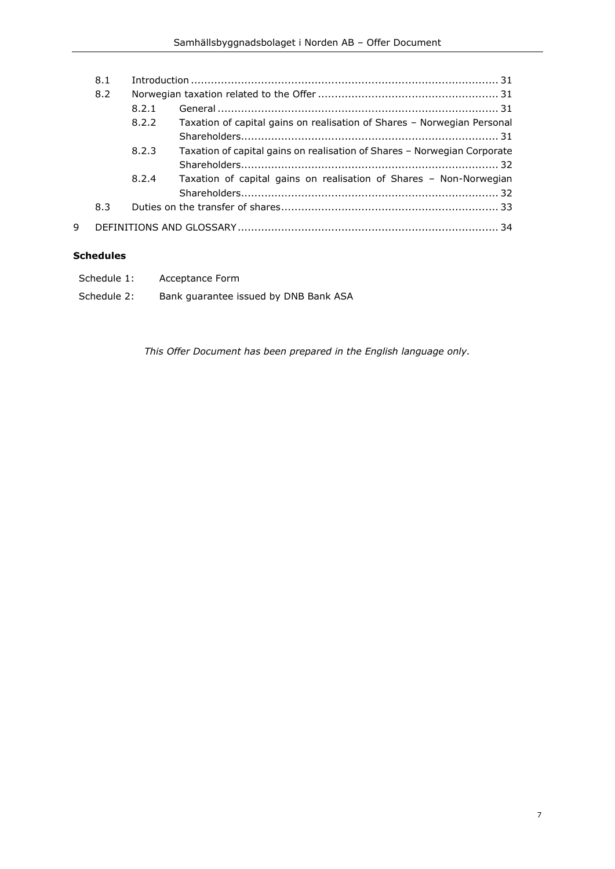|   | 8.1 |       |                                                                          |  |  |  |
|---|-----|-------|--------------------------------------------------------------------------|--|--|--|
|   | 8.2 |       |                                                                          |  |  |  |
|   |     | 8.2.1 |                                                                          |  |  |  |
|   |     | 8.2.2 | Taxation of capital gains on realisation of Shares - Norwegian Personal  |  |  |  |
|   |     |       |                                                                          |  |  |  |
|   |     | 8.2.3 | Taxation of capital gains on realisation of Shares - Norwegian Corporate |  |  |  |
|   |     |       |                                                                          |  |  |  |
|   |     | 8.2.4 | Taxation of capital gains on realisation of Shares - Non-Norwegian       |  |  |  |
|   |     |       |                                                                          |  |  |  |
|   | 8.3 |       |                                                                          |  |  |  |
| 9 |     |       |                                                                          |  |  |  |

# **Schedules**

| Schedule 1: | Acceptance Form                       |
|-------------|---------------------------------------|
| Schedule 2: | Bank guarantee issued by DNB Bank ASA |

*This Offer Document has been prepared in the English language only.*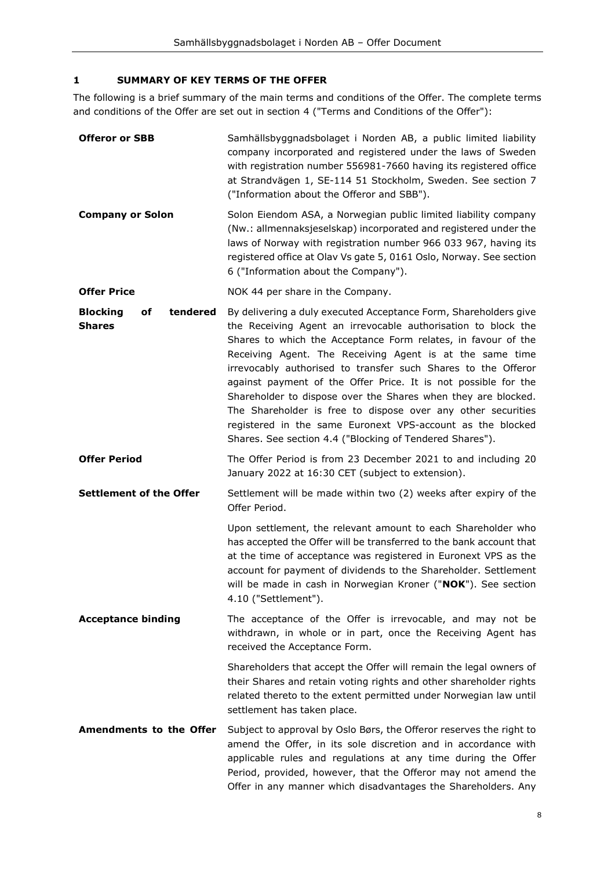# <span id="page-7-0"></span>**1 SUMMARY OF KEY TERMS OF THE OFFER**

The following is a brief summary of the main terms and conditions of the Offer. The complete terms and conditions of the Offer are set out in section [4](#page-12-0) ("Terms and Conditions of the Offer"):

| <b>Offeror or SBB</b>                              | Samhällsbyggnadsbolaget i Norden AB, a public limited liability<br>company incorporated and registered under the laws of Sweden<br>with registration number 556981-7660 having its registered office<br>at Strandvägen 1, SE-114 51 Stockholm, Sweden. See section 7<br>("Information about the Offeror and SBB").                                                                                                                                                                                                                                                                                                                                           |  |  |
|----------------------------------------------------|--------------------------------------------------------------------------------------------------------------------------------------------------------------------------------------------------------------------------------------------------------------------------------------------------------------------------------------------------------------------------------------------------------------------------------------------------------------------------------------------------------------------------------------------------------------------------------------------------------------------------------------------------------------|--|--|
| <b>Company or Solon</b>                            | Solon Eiendom ASA, a Norwegian public limited liability company<br>(Nw.: allmennaksjeselskap) incorporated and registered under the<br>laws of Norway with registration number 966 033 967, having its<br>registered office at Olav Vs gate 5, 0161 Oslo, Norway. See section<br>6 ("Information about the Company").                                                                                                                                                                                                                                                                                                                                        |  |  |
| <b>Offer Price</b>                                 | NOK 44 per share in the Company.                                                                                                                                                                                                                                                                                                                                                                                                                                                                                                                                                                                                                             |  |  |
| tendered<br><b>Blocking</b><br>of<br><b>Shares</b> | By delivering a duly executed Acceptance Form, Shareholders give<br>the Receiving Agent an irrevocable authorisation to block the<br>Shares to which the Acceptance Form relates, in favour of the<br>Receiving Agent. The Receiving Agent is at the same time<br>irrevocably authorised to transfer such Shares to the Offeror<br>against payment of the Offer Price. It is not possible for the<br>Shareholder to dispose over the Shares when they are blocked.<br>The Shareholder is free to dispose over any other securities<br>registered in the same Euronext VPS-account as the blocked<br>Shares. See section 4.4 ("Blocking of Tendered Shares"). |  |  |
| <b>Offer Period</b>                                | The Offer Period is from 23 December 2021 to and including 20<br>January 2022 at 16:30 CET (subject to extension).                                                                                                                                                                                                                                                                                                                                                                                                                                                                                                                                           |  |  |
| <b>Settlement of the Offer</b>                     | Settlement will be made within two (2) weeks after expiry of the<br>Offer Period.                                                                                                                                                                                                                                                                                                                                                                                                                                                                                                                                                                            |  |  |
|                                                    | Upon settlement, the relevant amount to each Shareholder who<br>has accepted the Offer will be transferred to the bank account that<br>at the time of acceptance was registered in Euronext VPS as the<br>account for payment of dividends to the Shareholder. Settlement<br>will be made in cash in Norwegian Kroner ("NOK"). See section<br>4.10 ("Settlement").                                                                                                                                                                                                                                                                                           |  |  |
| <b>Acceptance binding</b>                          | The acceptance of the Offer is irrevocable, and may not be<br>withdrawn, in whole or in part, once the Receiving Agent has<br>received the Acceptance Form.                                                                                                                                                                                                                                                                                                                                                                                                                                                                                                  |  |  |
|                                                    | Shareholders that accept the Offer will remain the legal owners of<br>their Shares and retain voting rights and other shareholder rights<br>related thereto to the extent permitted under Norwegian law until<br>settlement has taken place.                                                                                                                                                                                                                                                                                                                                                                                                                 |  |  |
| <b>Amendments to the Offer</b>                     | Subject to approval by Oslo Børs, the Offeror reserves the right to<br>amend the Offer, in its sole discretion and in accordance with<br>applicable rules and regulations at any time during the Offer<br>Period, provided, however, that the Offeror may not amend the<br>Offer in any manner which disadvantages the Shareholders. Any                                                                                                                                                                                                                                                                                                                     |  |  |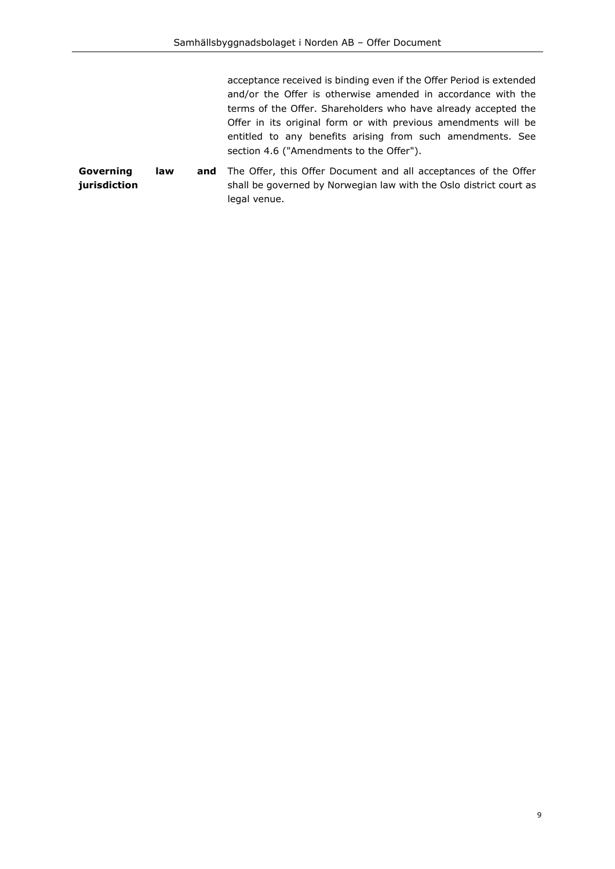acceptance received is binding even if the Offer Period is extended and/or the Offer is otherwise amended in accordance with the terms of the Offer. Shareholders who have already accepted the Offer in its original form or with previous amendments will be entitled to any benefits arising from such amendments. See section [4.6](#page-15-0) (["Amendments to the Offer"](#page-15-0)).

**Governing** law **jurisdiction** and The Offer, this Offer Document and all acceptances of the Offer shall be governed by Norwegian law with the Oslo district court as legal venue.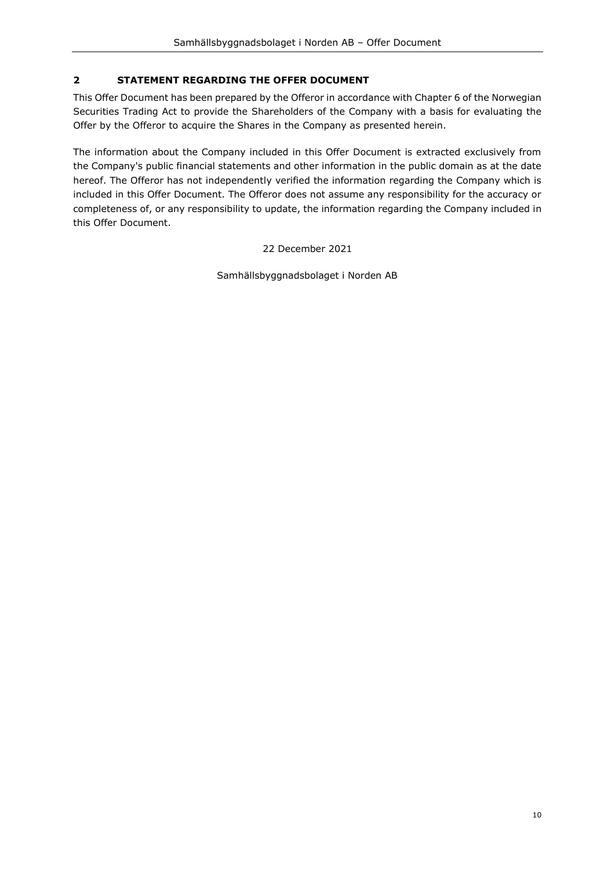# <span id="page-9-0"></span>**2 STATEMENT REGARDING THE OFFER DOCUMENT**

This Offer Document has been prepared by the Offeror in accordance with Chapter 6 of the Norwegian Securities Trading Act to provide the Shareholders of the Company with a basis for evaluating the Offer by the Offeror to acquire the Shares in the Company as presented herein.

The information about the Company included in this Offer Document is extracted exclusively from the Company's public financial statements and other information in the public domain as at the date hereof. The Offeror has not independently verified the information regarding the Company which is included in this Offer Document. The Offeror does not assume any responsibility for the accuracy or completeness of, or any responsibility to update, the information regarding the Company included in this Offer Document.

22 December 2021

Samhällsbyggnadsbolaget i Norden AB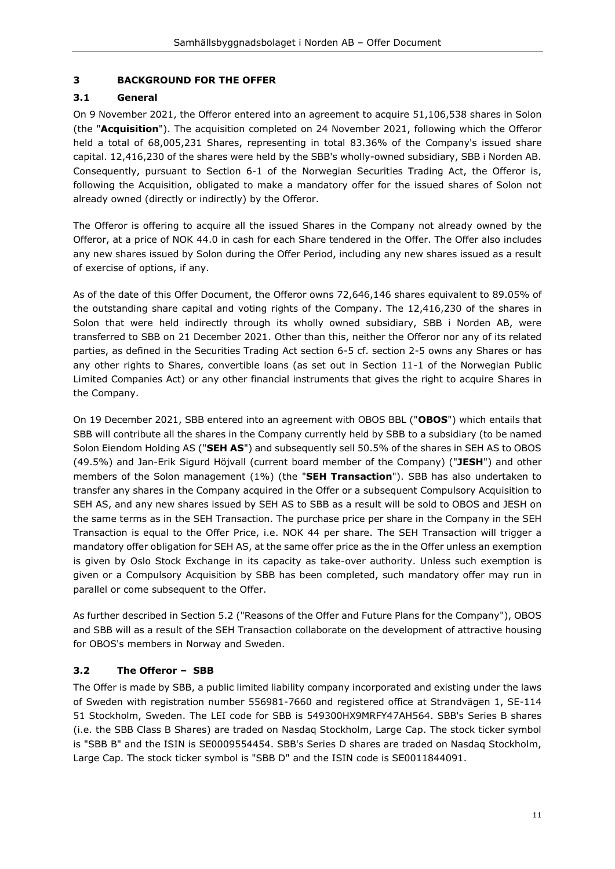# <span id="page-10-0"></span>**3 BACKGROUND FOR THE OFFER**

#### <span id="page-10-1"></span>**3.1 General**

On 9 November 2021, the Offeror entered into an agreement to acquire 51,106,538 shares in Solon (the "**Acquisition**"). The acquisition completed on 24 November 2021, following which the Offeror held a total of 68,005,231 Shares, representing in total 83.36% of the Company's issued share capital. 12,416,230 of the shares were held by the SBB's wholly-owned subsidiary, SBB i Norden AB. Consequently, pursuant to Section 6-1 of the Norwegian Securities Trading Act, the Offeror is, following the Acquisition, obligated to make a mandatory offer for the issued shares of Solon not already owned (directly or indirectly) by the Offeror.

The Offeror is offering to acquire all the issued Shares in the Company not already owned by the Offeror, at a price of NOK 44.0 in cash for each Share tendered in the Offer. The Offer also includes any new shares issued by Solon during the Offer Period, including any new shares issued as a result of exercise of options, if any.

As of the date of this Offer Document, the Offeror owns 72,646,146 shares equivalent to 89.05% of the outstanding share capital and voting rights of the Company. The 12,416,230 of the shares in Solon that were held indirectly through its wholly owned subsidiary, SBB i Norden AB, were transferred to SBB on 21 December 2021. Other than this, neither the Offeror nor any of its related parties, as defined in the Securities Trading Act section 6-5 cf. section 2-5 owns any Shares or has any other rights to Shares, convertible loans (as set out in Section 11-1 of the Norwegian Public Limited Companies Act) or any other financial instruments that gives the right to acquire Shares in the Company.

On 19 December 2021, SBB entered into an agreement with OBOS BBL ("**OBOS**") which entails that SBB will contribute all the shares in the Company currently held by SBB to a subsidiary (to be named Solon Eiendom Holding AS ("**SEH AS**") and subsequently sell 50.5% of the shares in SEH AS to OBOS (49.5%) and Jan-Erik Sigurd Höjvall (current board member of the Company) ("**JESH**") and other members of the Solon management (1%) (the "**SEH Transaction**"). SBB has also undertaken to transfer any shares in the Company acquired in the Offer or a subsequent Compulsory Acquisition to SEH AS, and any new shares issued by SEH AS to SBB as a result will be sold to OBOS and JESH on the same terms as in the SEH Transaction. The purchase price per share in the Company in the SEH Transaction is equal to the Offer Price, i.e. NOK 44 per share. The SEH Transaction will trigger a mandatory offer obligation for SEH AS, at the same offer price as the in the Offer unless an exemption is given by Oslo Stock Exchange in its capacity as take-over authority. Unless such exemption is given or a Compulsory Acquisition by SBB has been completed, such mandatory offer may run in parallel or come subsequent to the Offer.

As further described in Section [5.2](#page-19-0) (["Reasons of the Offer and Future Plans for the Company"](#page-19-0)), OBOS and SBB will as a result of the SEH Transaction collaborate on the development of attractive housing for OBOS's members in Norway and Sweden.

# <span id="page-10-2"></span>**3.2 The Offeror – SBB**

The Offer is made by SBB, a public limited liability company incorporated and existing under the laws of Sweden with registration number 556981-7660 and registered office at Strandvägen 1, SE-114 51 Stockholm, Sweden. The LEI code for SBB is 549300HX9MRFY47AH564. SBB's Series B shares (i.e. the SBB Class B Shares) are traded on Nasdaq Stockholm, Large Cap. The stock ticker symbol is "SBB B" and the ISIN is SE0009554454. SBB's Series D shares are traded on Nasdaq Stockholm, Large Cap. The stock ticker symbol is "SBB D" and the ISIN code is SE0011844091.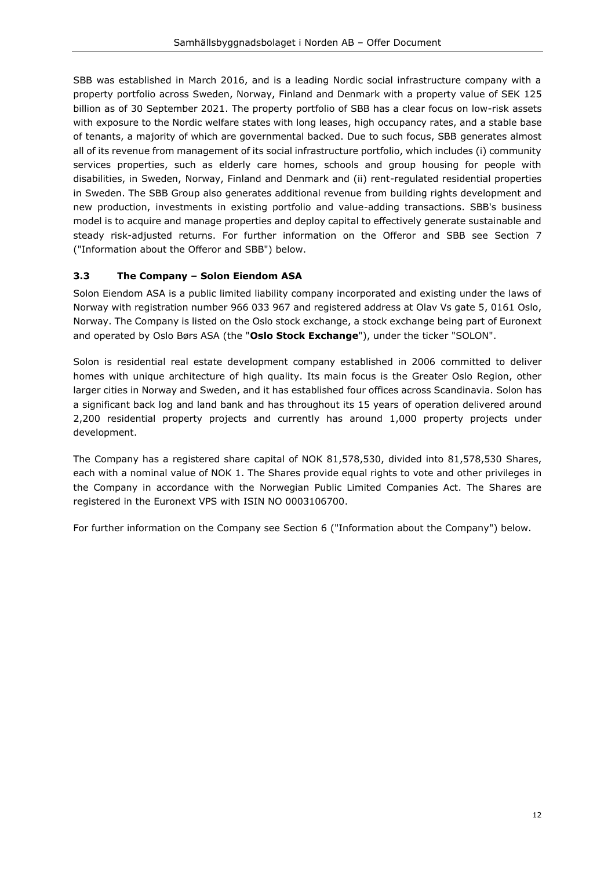SBB was established in March 2016, and is a leading Nordic social infrastructure company with a property portfolio across Sweden, Norway, Finland and Denmark with a property value of SEK 125 billion as of 30 September 2021. The property portfolio of SBB has a clear focus on low-risk assets with exposure to the Nordic welfare states with long leases, high occupancy rates, and a stable base of tenants, a majority of which are governmental backed. Due to such focus, SBB generates almost all of its revenue from management of its social infrastructure portfolio, which includes (i) community services properties, such as elderly care homes, schools and group housing for people with disabilities, in Sweden, Norway, Finland and Denmark and (ii) rent-regulated residential properties in Sweden. The SBB Group also generates additional revenue from building rights development and new production, investments in existing portfolio and value-adding transactions. SBB's business model is to acquire and manage properties and deploy capital to effectively generate sustainable and steady risk-adjusted returns. For further information on the Offeror and SBB see Section [7](#page-29-0) (["Information about the Offeror and S](#page-29-0)BB") below.

# <span id="page-11-0"></span>**3.3 The Company – Solon Eiendom ASA**

Solon Eiendom ASA is a public limited liability company incorporated and existing under the laws of Norway with registration number 966 033 967 and registered address at Olav Vs gate 5, 0161 Oslo, Norway. The Company is listed on the Oslo stock exchange, a stock exchange being part of Euronext and operated by Oslo Børs ASA (the "**Oslo Stock Exchange**"), under the ticker "SOLON".

Solon is residential real estate development company established in 2006 committed to deliver homes with unique architecture of high quality. Its main focus is the Greater Oslo Region, other larger cities in Norway and Sweden, and it has established four offices across Scandinavia. Solon has a significant back log and land bank and has throughout its 15 years of operation delivered around 2,200 residential property projects and currently has around 1,000 property projects under development.

The Company has a registered share capital of NOK 81,578,530, divided into 81,578,530 Shares, each with a nominal value of NOK 1. The Shares provide equal rights to vote and other privileges in the Company in accordance with the Norwegian Public Limited Companies Act. The Shares are registered in the Euronext VPS with ISIN NO 0003106700.

For further information on the Company see Section [6](#page-23-0) (["Information about the Company"](#page-23-0)) below.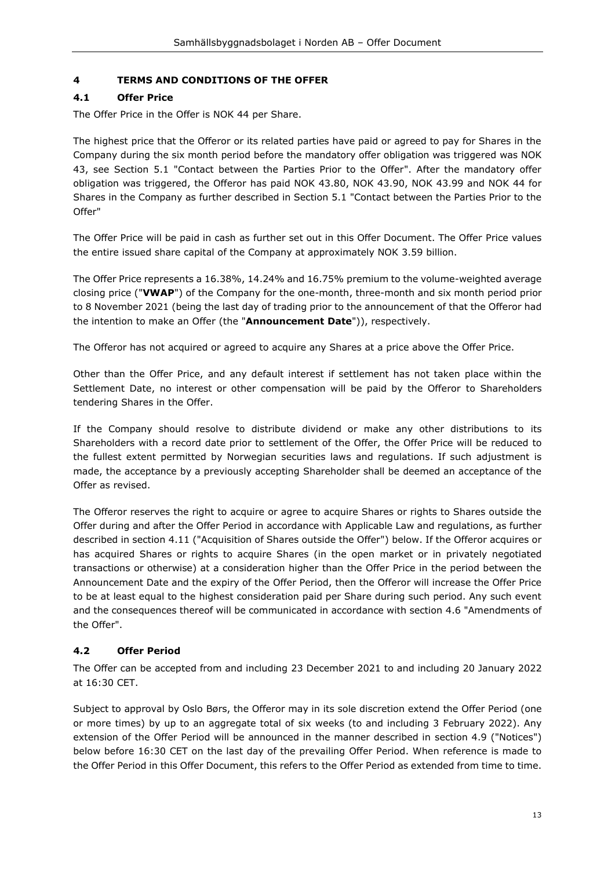# <span id="page-12-0"></span>**4 TERMS AND CONDITIONS OF THE OFFER**

# <span id="page-12-1"></span>**4.1 Offer Price**

The Offer Price in the Offer is NOK 44 per Share.

The highest price that the Offeror or its related parties have paid or agreed to pay for Shares in the Company during the six month period before the mandatory offer obligation was triggered was NOK 43, see Section [5.1](#page-18-1) ["Contact between the Parties Prior to the Offer"](#page-18-1). After the mandatory offer obligation was triggered, the Offeror has paid NOK 43.80, NOK 43.90, NOK 43.99 and NOK 44 for Shares in the Company as further described in Section [5.1](#page-18-1) ["Contact between the Parties Prior to the](#page-18-1)  [Offer"](#page-18-1)

The Offer Price will be paid in cash as further set out in this Offer Document. The Offer Price values the entire issued share capital of the Company at approximately NOK 3.59 billion.

The Offer Price represents a 16.38%, 14.24% and 16.75% premium to the volume-weighted average closing price ("**VWAP**") of the Company for the one-month, three-month and six month period prior to 8 November 2021 (being the last day of trading prior to the announcement of that the Offeror had the intention to make an Offer (the "**Announcement Date**")), respectively.

The Offeror has not acquired or agreed to acquire any Shares at a price above the Offer Price.

Other than the Offer Price, and any default interest if settlement has not taken place within the Settlement Date, no interest or other compensation will be paid by the Offeror to Shareholders tendering Shares in the Offer.

If the Company should resolve to distribute dividend or make any other distributions to its Shareholders with a record date prior to settlement of the Offer, the Offer Price will be reduced to the fullest extent permitted by Norwegian securities laws and regulations. If such adjustment is made, the acceptance by a previously accepting Shareholder shall be deemed an acceptance of the Offer as revised.

The Offeror reserves the right to acquire or agree to acquire Shares or rights to Shares outside the Offer during and after the Offer Period in accordance with Applicable Law and regulations, as further described in section [4.11](#page-16-1) (["Acquisition of Shares outside the Offer"](#page-16-1)) below. If the Offeror acquires or has acquired Shares or rights to acquire Shares (in the open market or in privately negotiated transactions or otherwise) at a consideration higher than the Offer Price in the period between the Announcement Date and the expiry of the Offer Period, then the Offeror will increase the Offer Price to be at least equal to the highest consideration paid per Share during such period. Any such event and the consequences thereof will be communicated in accordance with section [4.6](#page-15-0) "Amendments of the Offer".

# <span id="page-12-2"></span>**4.2 Offer Period**

The Offer can be accepted from and including 23 December 2021 to and including 20 January 2022 at 16:30 CET.

Subject to approval by Oslo Børs, the Offeror may in its sole discretion extend the Offer Period (one or more times) by up to an aggregate total of six weeks (to and including 3 February 2022). Any extension of the Offer Period will be announced in the manner described in section [4.9](#page-15-3) (["Notices"](#page-15-3)) below before 16:30 CET on the last day of the prevailing Offer Period. When reference is made to the Offer Period in this Offer Document, this refers to the Offer Period as extended from time to time.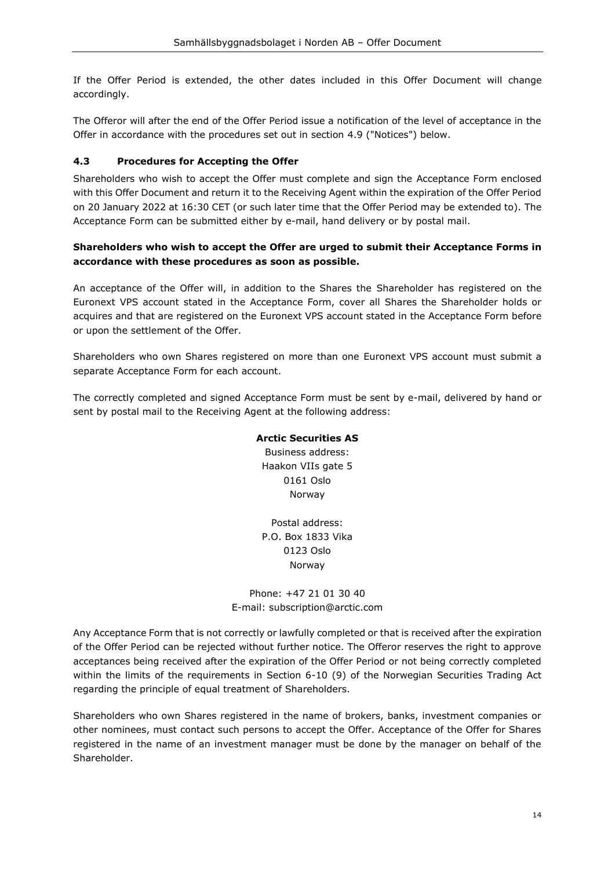If the Offer Period is extended, the other dates included in this Offer Document will change accordingly.

The Offeror will after the end of the Offer Period issue a notification of the level of acceptance in the Offer in accordance with the procedures set out in section [4.9](#page-15-3) (["Notices"](#page-15-3)) below.

# <span id="page-13-1"></span><span id="page-13-0"></span>**4.3 Procedures for Accepting the Offer**

Shareholders who wish to accept the Offer must complete and sign the Acceptance Form enclosed with this Offer Document and return it to the Receiving Agent within the expiration of the Offer Period on 20 January 2022 at 16:30 CET (or such later time that the Offer Period may be extended to). The Acceptance Form can be submitted either by e-mail, hand delivery or by postal mail.

# **Shareholders who wish to accept the Offer are urged to submit their Acceptance Forms in accordance with these procedures as soon as possible.**

An acceptance of the Offer will, in addition to the Shares the Shareholder has registered on the Euronext VPS account stated in the Acceptance Form, cover all Shares the Shareholder holds or acquires and that are registered on the Euronext VPS account stated in the Acceptance Form before or upon the settlement of the Offer.

Shareholders who own Shares registered on more than one Euronext VPS account must submit a separate Acceptance Form for each account.

The correctly completed and signed Acceptance Form must be sent by e-mail, delivered by hand or sent by postal mail to the Receiving Agent at the following address:

#### **Arctic Securities AS**

Business address: Haakon VIIs gate 5 0161 Oslo Norway

Postal address: P.O. Box 1833 Vika 0123 Oslo Norway

#### Phone: +47 21 01 30 40 E-mail: [subscription@arctic.com](mailto:subscription@arctic.com)

Any Acceptance Form that is not correctly or lawfully completed or that is received after the expiration of the Offer Period can be rejected without further notice. The Offeror reserves the right to approve acceptances being received after the expiration of the Offer Period or not being correctly completed within the limits of the requirements in Section 6-10 (9) of the Norwegian Securities Trading Act regarding the principle of equal treatment of Shareholders.

Shareholders who own Shares registered in the name of brokers, banks, investment companies or other nominees, must contact such persons to accept the Offer. Acceptance of the Offer for Shares registered in the name of an investment manager must be done by the manager on behalf of the Shareholder.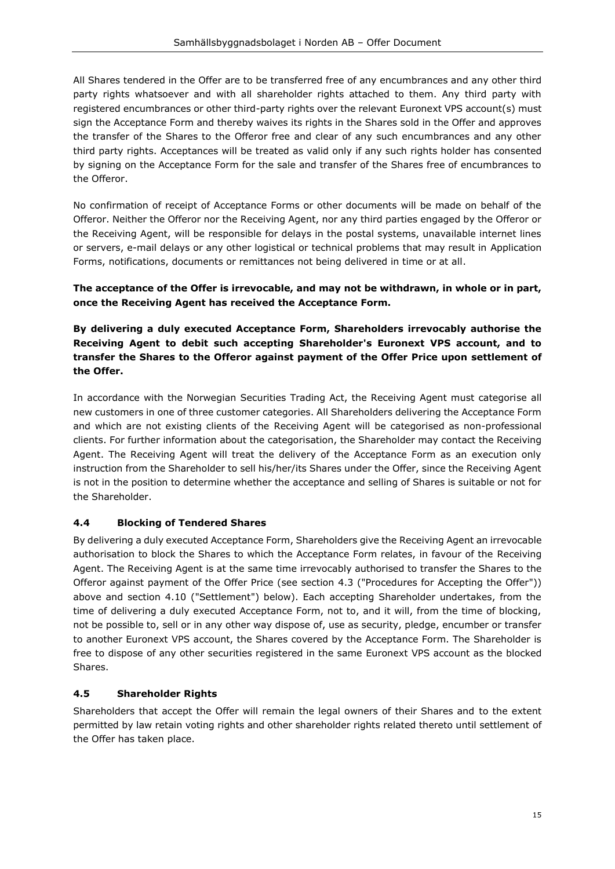All Shares tendered in the Offer are to be transferred free of any encumbrances and any other third party rights whatsoever and with all shareholder rights attached to them. Any third party with registered encumbrances or other third-party rights over the relevant Euronext VPS account(s) must sign the Acceptance Form and thereby waives its rights in the Shares sold in the Offer and approves the transfer of the Shares to the Offeror free and clear of any such encumbrances and any other third party rights. Acceptances will be treated as valid only if any such rights holder has consented by signing on the Acceptance Form for the sale and transfer of the Shares free of encumbrances to the Offeror.

No confirmation of receipt of Acceptance Forms or other documents will be made on behalf of the Offeror. Neither the Offeror nor the Receiving Agent, nor any third parties engaged by the Offeror or the Receiving Agent, will be responsible for delays in the postal systems, unavailable internet lines or servers, e-mail delays or any other logistical or technical problems that may result in Application Forms, notifications, documents or remittances not being delivered in time or at all.

#### **The acceptance of the Offer is irrevocable, and may not be withdrawn, in whole or in part, once the Receiving Agent has received the Acceptance Form.**

**By delivering a duly executed Acceptance Form, Shareholders irrevocably authorise the Receiving Agent to debit such accepting Shareholder's Euronext VPS account, and to transfer the Shares to the Offeror against payment of the Offer Price upon settlement of the Offer.**

In accordance with the Norwegian Securities Trading Act, the Receiving Agent must categorise all new customers in one of three customer categories. All Shareholders delivering the Acceptance Form and which are not existing clients of the Receiving Agent will be categorised as non-professional clients. For further information about the categorisation, the Shareholder may contact the Receiving Agent. The Receiving Agent will treat the delivery of the Acceptance Form as an execution only instruction from the Shareholder to sell his/her/its Shares under the Offer, since the Receiving Agent is not in the position to determine whether the acceptance and selling of Shares is suitable or not for the Shareholder.

#### <span id="page-14-0"></span>**4.4 Blocking of Tendered Shares**

By delivering a duly executed Acceptance Form, Shareholders give the Receiving Agent an irrevocable authorisation to block the Shares to which the Acceptance Form relates, in favour of the Receiving Agent. The Receiving Agent is at the same time irrevocably authorised to transfer the Shares to the Offeror against payment of the Offer Price (see section [4.3](#page-13-0) (["Procedures for Accepting the Offer"](#page-13-0))) above and section [4.10](#page-15-4) (["Settlement"](#page-15-4)) below). Each accepting Shareholder undertakes, from the time of delivering a duly executed Acceptance Form, not to, and it will, from the time of blocking, not be possible to, sell or in any other way dispose of, use as security, pledge, encumber or transfer to another Euronext VPS account, the Shares covered by the Acceptance Form. The Shareholder is free to dispose of any other securities registered in the same Euronext VPS account as the blocked Shares.

#### <span id="page-14-1"></span>**4.5 Shareholder Rights**

Shareholders that accept the Offer will remain the legal owners of their Shares and to the extent permitted by law retain voting rights and other shareholder rights related thereto until settlement of the Offer has taken place.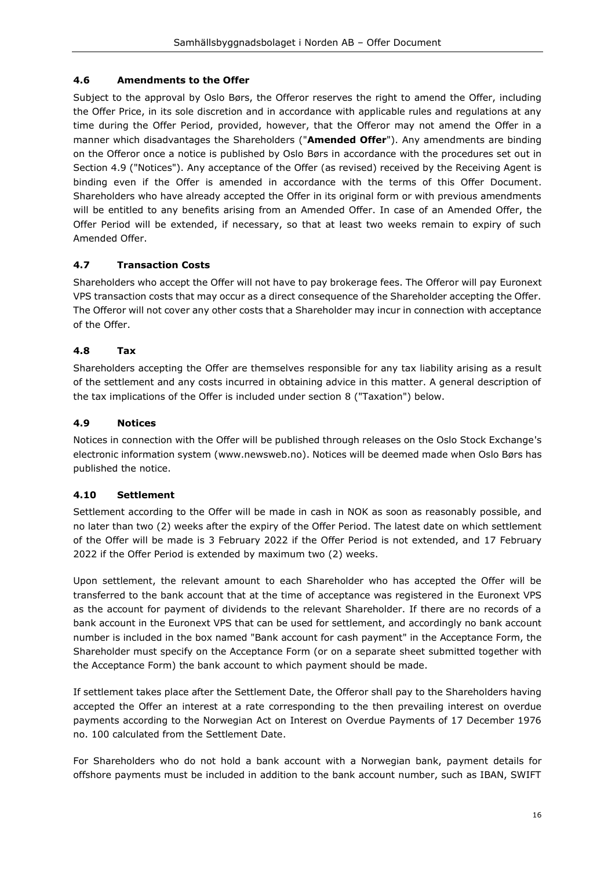# <span id="page-15-0"></span>**4.6 Amendments to the Offer**

Subject to the approval by Oslo Børs, the Offeror reserves the right to amend the Offer, including the Offer Price, in its sole discretion and in accordance with applicable rules and regulations at any time during the Offer Period, provided, however, that the Offeror may not amend the Offer in a manner which disadvantages the Shareholders ("**Amended Offer**"). Any amendments are binding on the Offeror once a notice is published by Oslo Børs in accordance with the procedures set out in Section [4.9](#page-15-3) (["Notices"](#page-15-3)). Any acceptance of the Offer (as revised) received by the Receiving Agent is binding even if the Offer is amended in accordance with the terms of this Offer Document. Shareholders who have already accepted the Offer in its original form or with previous amendments will be entitled to any benefits arising from an Amended Offer. In case of an Amended Offer, the Offer Period will be extended, if necessary, so that at least two weeks remain to expiry of such Amended Offer.

# <span id="page-15-1"></span>**4.7 Transaction Costs**

Shareholders who accept the Offer will not have to pay brokerage fees. The Offeror will pay Euronext VPS transaction costs that may occur as a direct consequence of the Shareholder accepting the Offer. The Offeror will not cover any other costs that a Shareholder may incur in connection with acceptance of the Offer.

# <span id="page-15-2"></span>**4.8 Tax**

Shareholders accepting the Offer are themselves responsible for any tax liability arising as a result of the settlement and any costs incurred in obtaining advice in this matter. A general description of the tax implications of the Offer is included under section [8](#page-30-0) (["Taxation"](#page-30-0)) below.

# <span id="page-15-3"></span>**4.9 Notices**

Notices in connection with the Offer will be published through releases on the Oslo Stock Exchange's electronic information system (www.newsweb.no). Notices will be deemed made when Oslo Børs has published the notice.

#### <span id="page-15-4"></span>**4.10 Settlement**

Settlement according to the Offer will be made in cash in NOK as soon as reasonably possible, and no later than two (2) weeks after the expiry of the Offer Period. The latest date on which settlement of the Offer will be made is 3 February 2022 if the Offer Period is not extended, and 17 February 2022 if the Offer Period is extended by maximum two (2) weeks.

Upon settlement, the relevant amount to each Shareholder who has accepted the Offer will be transferred to the bank account that at the time of acceptance was registered in the Euronext VPS as the account for payment of dividends to the relevant Shareholder. If there are no records of a bank account in the Euronext VPS that can be used for settlement, and accordingly no bank account number is included in the box named "Bank account for cash payment" in the Acceptance Form, the Shareholder must specify on the Acceptance Form (or on a separate sheet submitted together with the Acceptance Form) the bank account to which payment should be made.

If settlement takes place after the Settlement Date, the Offeror shall pay to the Shareholders having accepted the Offer an interest at a rate corresponding to the then prevailing interest on overdue payments according to the Norwegian Act on Interest on Overdue Payments of 17 December 1976 no. 100 calculated from the Settlement Date.

For Shareholders who do not hold a bank account with a Norwegian bank, payment details for offshore payments must be included in addition to the bank account number, such as IBAN, SWIFT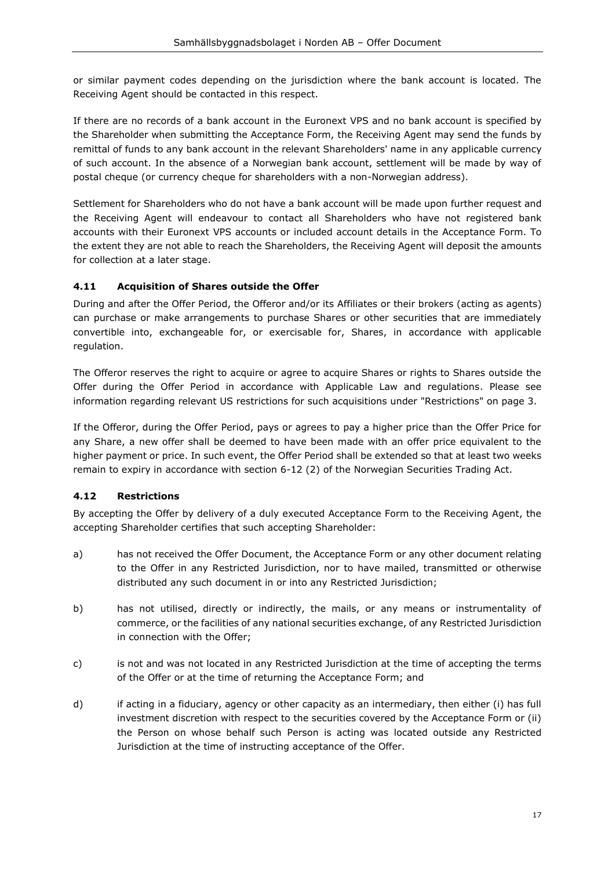or similar payment codes depending on the jurisdiction where the bank account is located. The Receiving Agent should be contacted in this respect.

If there are no records of a bank account in the Euronext VPS and no bank account is specified by the Shareholder when submitting the Acceptance Form, the Receiving Agent may send the funds by remittal of funds to any bank account in the relevant Shareholders' name in any applicable currency of such account. In the absence of a Norwegian bank account, settlement will be made by way of postal cheque (or currency cheque for shareholders with a non-Norwegian address).

Settlement for Shareholders who do not have a bank account will be made upon further request and the Receiving Agent will endeavour to contact all Shareholders who have not registered bank accounts with their Euronext VPS accounts or included account details in the Acceptance Form. To the extent they are not able to reach the Shareholders, the Receiving Agent will deposit the amounts for collection at a later stage.

# <span id="page-16-1"></span>**4.11 Acquisition of Shares outside the Offer**

During and after the Offer Period, the Offeror and/or its Affiliates or their brokers (acting as agents) can purchase or make arrangements to purchase Shares or other securities that are immediately convertible into, exchangeable for, or exercisable for, Shares, in accordance with applicable regulation.

The Offeror reserves the right to acquire or agree to acquire Shares or rights to Shares outside the Offer during the Offer Period in accordance with Applicable Law and regulations. Please see information regarding relevant US restrictions for such acquisitions under "Restrictions" on page 3.

If the Offeror, during the Offer Period, pays or agrees to pay a higher price than the Offer Price for any Share, a new offer shall be deemed to have been made with an offer price equivalent to the higher payment or price. In such event, the Offer Period shall be extended so that at least two weeks remain to expiry in accordance with section 6-12 (2) of the Norwegian Securities Trading Act.

#### <span id="page-16-0"></span>**4.12 Restrictions**

By accepting the Offer by delivery of a duly executed Acceptance Form to the Receiving Agent, the accepting Shareholder certifies that such accepting Shareholder:

- a) has not received the Offer Document, the Acceptance Form or any other document relating to the Offer in any Restricted Jurisdiction, nor to have mailed, transmitted or otherwise distributed any such document in or into any Restricted Jurisdiction;
- b) has not utilised, directly or indirectly, the mails, or any means or instrumentality of commerce, or the facilities of any national securities exchange, of any Restricted Jurisdiction in connection with the Offer;
- c) is not and was not located in any Restricted Jurisdiction at the time of accepting the terms of the Offer or at the time of returning the Acceptance Form; and
- d) if acting in a fiduciary, agency or other capacity as an intermediary, then either (i) has full investment discretion with respect to the securities covered by the Acceptance Form or (ii) the Person on whose behalf such Person is acting was located outside any Restricted Jurisdiction at the time of instructing acceptance of the Offer.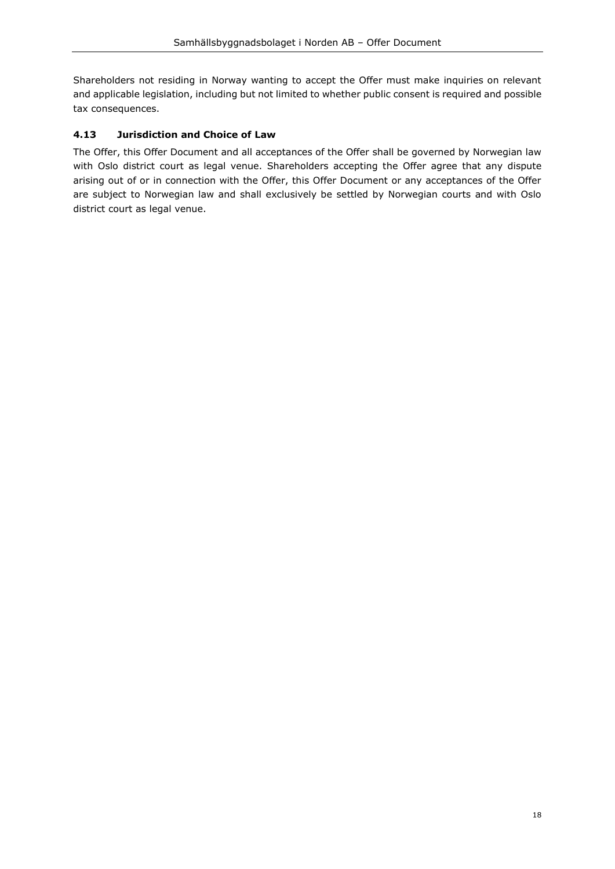Shareholders not residing in Norway wanting to accept the Offer must make inquiries on relevant and applicable legislation, including but not limited to whether public consent is required and possible tax consequences.

# <span id="page-17-0"></span>**4.13 Jurisdiction and Choice of Law**

The Offer, this Offer Document and all acceptances of the Offer shall be governed by Norwegian law with Oslo district court as legal venue. Shareholders accepting the Offer agree that any dispute arising out of or in connection with the Offer, this Offer Document or any acceptances of the Offer are subject to Norwegian law and shall exclusively be settled by Norwegian courts and with Oslo district court as legal venue.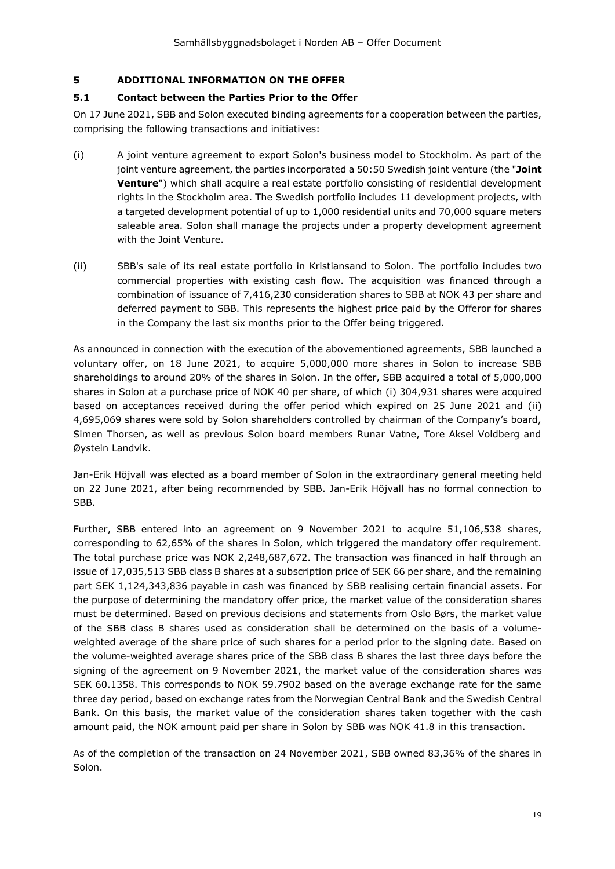#### <span id="page-18-0"></span>**5 ADDITIONAL INFORMATION ON THE OFFER**

#### <span id="page-18-1"></span>**5.1 Contact between the Parties Prior to the Offer**

On 17 June 2021, SBB and Solon executed binding agreements for a cooperation between the parties, comprising the following transactions and initiatives:

- (i) A joint venture agreement to export Solon's business model to Stockholm. As part of the joint venture agreement, the parties incorporated a 50:50 Swedish joint venture (the "**Joint Venture**") which shall acquire a real estate portfolio consisting of residential development rights in the Stockholm area. The Swedish portfolio includes 11 development projects, with a targeted development potential of up to 1,000 residential units and 70,000 square meters saleable area. Solon shall manage the projects under a property development agreement with the Joint Venture.
- (ii) SBB's sale of its real estate portfolio in Kristiansand to Solon. The portfolio includes two commercial properties with existing cash flow. The acquisition was financed through a combination of issuance of 7,416,230 consideration shares to SBB at NOK 43 per share and deferred payment to SBB. This represents the highest price paid by the Offeror for shares in the Company the last six months prior to the Offer being triggered.

As announced in connection with the execution of the abovementioned agreements, SBB launched a voluntary offer, on 18 June 2021, to acquire 5,000,000 more shares in Solon to increase SBB shareholdings to around 20% of the shares in Solon. In the offer, SBB acquired a total of 5,000,000 shares in Solon at a purchase price of NOK 40 per share, of which (i) 304,931 shares were acquired based on acceptances received during the offer period which expired on 25 June 2021 and (ii) 4,695,069 shares were sold by Solon shareholders controlled by chairman of the Company's board, Simen Thorsen, as well as previous Solon board members Runar Vatne, Tore Aksel Voldberg and Øystein Landvik.

Jan-Erik Höjvall was elected as a board member of Solon in the extraordinary general meeting held on 22 June 2021, after being recommended by SBB. Jan-Erik Höjvall has no formal connection to SBB.

Further, SBB entered into an agreement on 9 November 2021 to acquire 51,106,538 shares, corresponding to 62,65% of the shares in Solon, which triggered the mandatory offer requirement. The total purchase price was NOK 2,248,687,672. The transaction was financed in half through an issue of 17,035,513 SBB class B shares at a subscription price of SEK 66 per share, and the remaining part SEK 1,124,343,836 payable in cash was financed by SBB realising certain financial assets. For the purpose of determining the mandatory offer price, the market value of the consideration shares must be determined. Based on previous decisions and statements from Oslo Børs, the market value of the SBB class B shares used as consideration shall be determined on the basis of a volumeweighted average of the share price of such shares for a period prior to the signing date. Based on the volume-weighted average shares price of the SBB class B shares the last three days before the signing of the agreement on 9 November 2021, the market value of the consideration shares was SEK 60.1358. This corresponds to NOK 59.7902 based on the average exchange rate for the same three day period, based on exchange rates from the Norwegian Central Bank and the Swedish Central Bank. On this basis, the market value of the consideration shares taken together with the cash amount paid, the NOK amount paid per share in Solon by SBB was NOK 41.8 in this transaction.

As of the completion of the transaction on 24 November 2021, SBB owned 83,36% of the shares in Solon.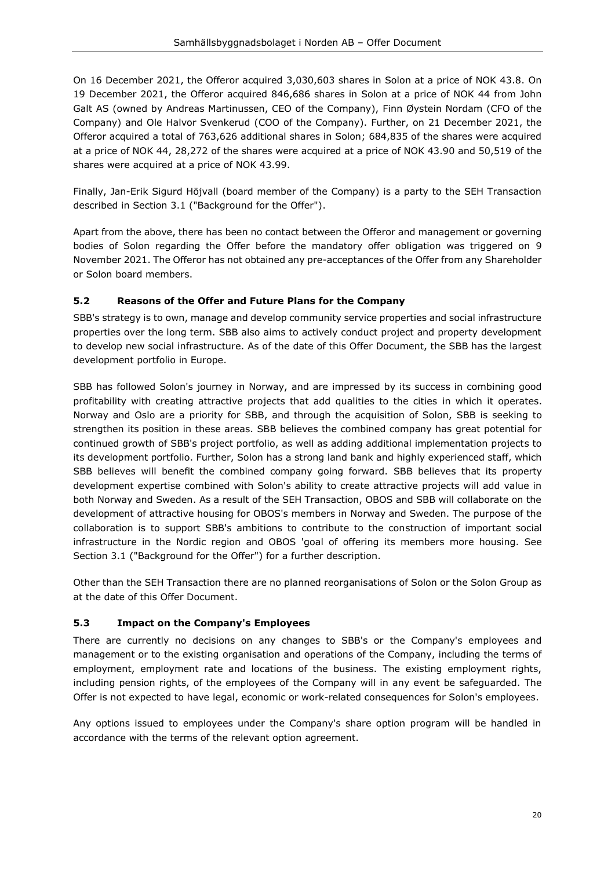On 16 December 2021, the Offeror acquired 3,030,603 shares in Solon at a price of NOK 43.8. On 19 December 2021, the Offeror acquired 846,686 shares in Solon at a price of NOK 44 from John Galt AS (owned by Andreas Martinussen, CEO of the Company), Finn Øystein Nordam (CFO of the Company) and Ole Halvor Svenkerud (COO of the Company). Further, on 21 December 2021, the Offeror acquired a total of 763,626 additional shares in Solon; 684,835 of the shares were acquired at a price of NOK 44, 28,272 of the shares were acquired at a price of NOK 43.90 and 50,519 of the shares were acquired at a price of NOK 43.99.

Finally, Jan-Erik Sigurd Höjvall (board member of the Company) is a party to the SEH Transaction described in Section 3.1 ("Background for the Offer").

Apart from the above, there has been no contact between the Offeror and management or governing bodies of Solon regarding the Offer before the mandatory offer obligation was triggered on 9 November 2021. The Offeror has not obtained any pre-acceptances of the Offer from any Shareholder or Solon board members.

# <span id="page-19-0"></span>**5.2 Reasons of the Offer and Future Plans for the Company**

SBB's strategy is to own, manage and develop community service properties and social infrastructure properties over the long term. SBB also aims to actively conduct project and property development to develop new social infrastructure. As of the date of this Offer Document, the SBB has the largest development portfolio in Europe.

SBB has followed Solon's journey in Norway, and are impressed by its success in combining good profitability with creating attractive projects that add qualities to the cities in which it operates. Norway and Oslo are a priority for SBB, and through the acquisition of Solon, SBB is seeking to strengthen its position in these areas. SBB believes the combined company has great potential for continued growth of SBB's project portfolio, as well as adding additional implementation projects to its development portfolio. Further, Solon has a strong land bank and highly experienced staff, which SBB believes will benefit the combined company going forward. SBB believes that its property development expertise combined with Solon's ability to create attractive projects will add value in both Norway and Sweden. As a result of the SEH Transaction, OBOS and SBB will collaborate on the development of attractive housing for OBOS's members in Norway and Sweden. The purpose of the collaboration is to support SBB's ambitions to contribute to the construction of important social infrastructure in the Nordic region and OBOS 'goal of offering its members more housing. See Section 3.1 ("Background for the Offer") for a further description.

Other than the SEH Transaction there are no planned reorganisations of Solon or the Solon Group as at the date of this Offer Document.

# <span id="page-19-1"></span>**5.3 Impact on the Company's Employees**

There are currently no decisions on any changes to SBB's or the Company's employees and management or to the existing organisation and operations of the Company, including the terms of employment, employment rate and locations of the business. The existing employment rights, including pension rights, of the employees of the Company will in any event be safeguarded. The Offer is not expected to have legal, economic or work-related consequences for Solon's employees.

Any options issued to employees under the Company's share option program will be handled in accordance with the terms of the relevant option agreement.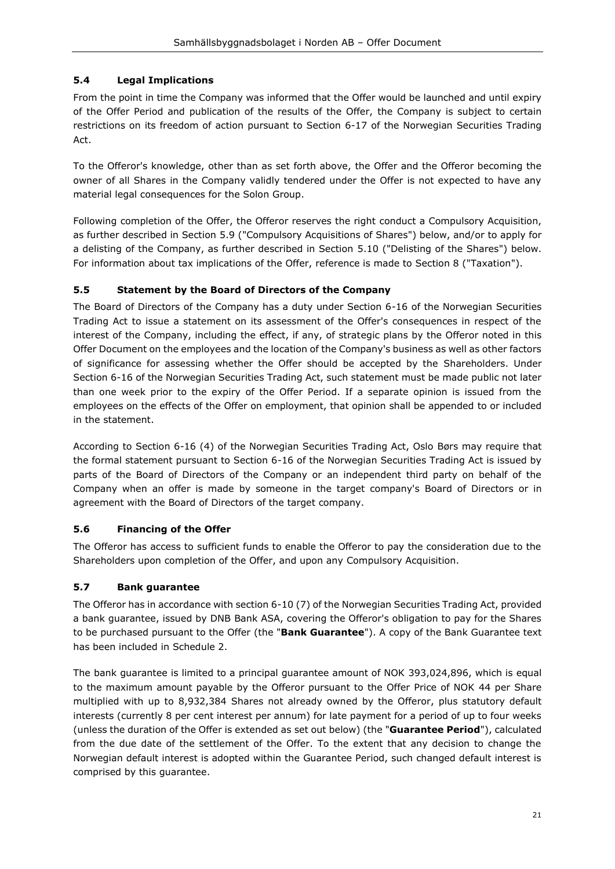# <span id="page-20-0"></span>**5.4 Legal Implications**

From the point in time the Company was informed that the Offer would be launched and until expiry of the Offer Period and publication of the results of the Offer, the Company is subject to certain restrictions on its freedom of action pursuant to Section 6-17 of the Norwegian Securities Trading Act.

To the Offeror's knowledge, other than as set forth above, the Offer and the Offeror becoming the owner of all Shares in the Company validly tendered under the Offer is not expected to have any material legal consequences for the Solon Group.

Following completion of the Offer, the Offeror reserves the right conduct a Compulsory Acquisition, as further described in Section [5.9](#page-21-1) (["Compulsory Acquisitions of Shares"](#page-21-1)) below, and/or to apply for a delisting of the Company, as further described in Section [5.10](#page-21-2) (["Delisting of the Shares"](#page-21-2)) below. For information about tax implications of the Offer, reference is made to Section [8](#page-30-0) (["Taxation"](#page-30-0)).

# <span id="page-20-1"></span>**5.5 Statement by the Board of Directors of the Company**

The Board of Directors of the Company has a duty under Section 6-16 of the Norwegian Securities Trading Act to issue a statement on its assessment of the Offer's consequences in respect of the interest of the Company, including the effect, if any, of strategic plans by the Offeror noted in this Offer Document on the employees and the location of the Company's business as well as other factors of significance for assessing whether the Offer should be accepted by the Shareholders. Under Section 6-16 of the Norwegian Securities Trading Act, such statement must be made public not later than one week prior to the expiry of the Offer Period. If a separate opinion is issued from the employees on the effects of the Offer on employment, that opinion shall be appended to or included in the statement.

According to Section 6-16 (4) of the Norwegian Securities Trading Act, Oslo Børs may require that the formal statement pursuant to Section 6-16 of the Norwegian Securities Trading Act is issued by parts of the Board of Directors of the Company or an independent third party on behalf of the Company when an offer is made by someone in the target company's Board of Directors or in agreement with the Board of Directors of the target company.

# <span id="page-20-2"></span>**5.6 Financing of the Offer**

The Offeror has access to sufficient funds to enable the Offeror to pay the consideration due to the Shareholders upon completion of the Offer, and upon any Compulsory Acquisition.

# <span id="page-20-3"></span>**5.7 Bank guarantee**

The Offeror has in accordance with section 6-10 (7) of the Norwegian Securities Trading Act, provided a bank guarantee, issued by DNB Bank ASA, covering the Offeror's obligation to pay for the Shares to be purchased pursuant to the Offer (the "**Bank Guarantee**"). A copy of the Bank Guarantee text has been included in Schedule 2.

The bank guarantee is limited to a principal guarantee amount of NOK 393,024,896, which is equal to the maximum amount payable by the Offeror pursuant to the Offer Price of NOK 44 per Share multiplied with up to 8,932,384 Shares not already owned by the Offeror, plus statutory default interests (currently 8 per cent interest per annum) for late payment for a period of up to four weeks (unless the duration of the Offer is extended as set out below) (the "**Guarantee Period**"), calculated from the due date of the settlement of the Offer. To the extent that any decision to change the Norwegian default interest is adopted within the Guarantee Period, such changed default interest is comprised by this guarantee.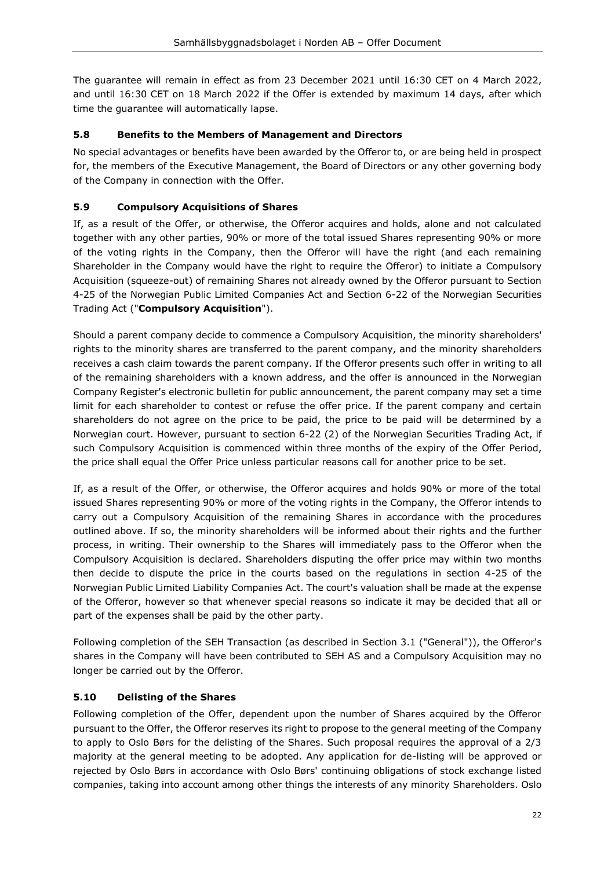The guarantee will remain in effect as from 23 December 2021 until 16:30 CET on 4 March 2022, and until 16:30 CET on 18 March 2022 if the Offer is extended by maximum 14 days, after which time the guarantee will automatically lapse.

# <span id="page-21-0"></span>**5.8 Benefits to the Members of Management and Directors**

No special advantages or benefits have been awarded by the Offeror to, or are being held in prospect for, the members of the Executive Management, the Board of Directors or any other governing body of the Company in connection with the Offer.

# <span id="page-21-1"></span>**5.9 Compulsory Acquisitions of Shares**

If, as a result of the Offer, or otherwise, the Offeror acquires and holds, alone and not calculated together with any other parties, 90% or more of the total issued Shares representing 90% or more of the voting rights in the Company, then the Offeror will have the right (and each remaining Shareholder in the Company would have the right to require the Offeror) to initiate a Compulsory Acquisition (squeeze-out) of remaining Shares not already owned by the Offeror pursuant to Section 4-25 of the Norwegian Public Limited Companies Act and Section 6-22 of the Norwegian Securities Trading Act ("**Compulsory Acquisition**").

Should a parent company decide to commence a Compulsory Acquisition, the minority shareholders' rights to the minority shares are transferred to the parent company, and the minority shareholders receives a cash claim towards the parent company. If the Offeror presents such offer in writing to all of the remaining shareholders with a known address, and the offer is announced in the Norwegian Company Register's electronic bulletin for public announcement, the parent company may set a time limit for each shareholder to contest or refuse the offer price. If the parent company and certain shareholders do not agree on the price to be paid, the price to be paid will be determined by a Norwegian court. However, pursuant to section 6-22 (2) of the Norwegian Securities Trading Act, if such Compulsory Acquisition is commenced within three months of the expiry of the Offer Period, the price shall equal the Offer Price unless particular reasons call for another price to be set.

If, as a result of the Offer, or otherwise, the Offeror acquires and holds 90% or more of the total issued Shares representing 90% or more of the voting rights in the Company, the Offeror intends to carry out a Compulsory Acquisition of the remaining Shares in accordance with the procedures outlined above. If so, the minority shareholders will be informed about their rights and the further process, in writing. Their ownership to the Shares will immediately pass to the Offeror when the Compulsory Acquisition is declared. Shareholders disputing the offer price may within two months then decide to dispute the price in the courts based on the regulations in section 4-25 of the Norwegian Public Limited Liability Companies Act. The court's valuation shall be made at the expense of the Offeror, however so that whenever special reasons so indicate it may be decided that all or part of the expenses shall be paid by the other party.

Following completion of the SEH Transaction (as described in Section [3.1](#page-10-1) (["General"](#page-10-1))), the Offeror's shares in the Company will have been contributed to SEH AS and a Compulsory Acquisition may no longer be carried out by the Offeror.

# <span id="page-21-2"></span>**5.10 Delisting of the Shares**

Following completion of the Offer, dependent upon the number of Shares acquired by the Offeror pursuant to the Offer, the Offeror reserves its right to propose to the general meeting of the Company to apply to Oslo Børs for the delisting of the Shares. Such proposal requires the approval of a 2/3 majority at the general meeting to be adopted. Any application for de-listing will be approved or rejected by Oslo Børs in accordance with Oslo Børs' continuing obligations of stock exchange listed companies, taking into account among other things the interests of any minority Shareholders. Oslo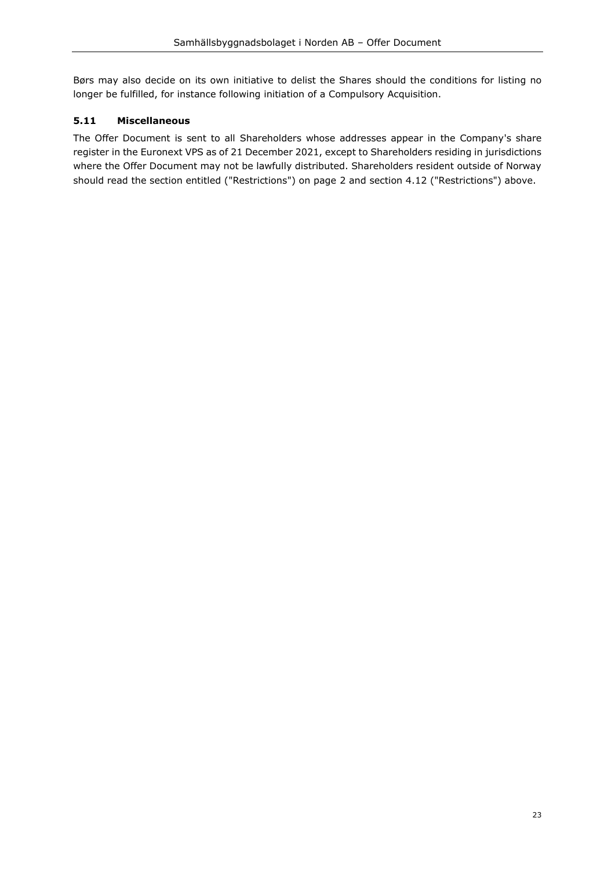Børs may also decide on its own initiative to delist the Shares should the conditions for listing no longer be fulfilled, for instance following initiation of a Compulsory Acquisition.

# <span id="page-22-0"></span>**5.11 Miscellaneous**

The Offer Document is sent to all Shareholders whose addresses appear in the Company's share register in the Euronext VPS as of 21 December 2021, except to Shareholders residing in jurisdictions where the Offer Document may not be lawfully distributed. Shareholders resident outside of Norway should read the section entitled ("Restrictions") on page 2 and section [4.12](#page-16-0) ("Restrictions") above.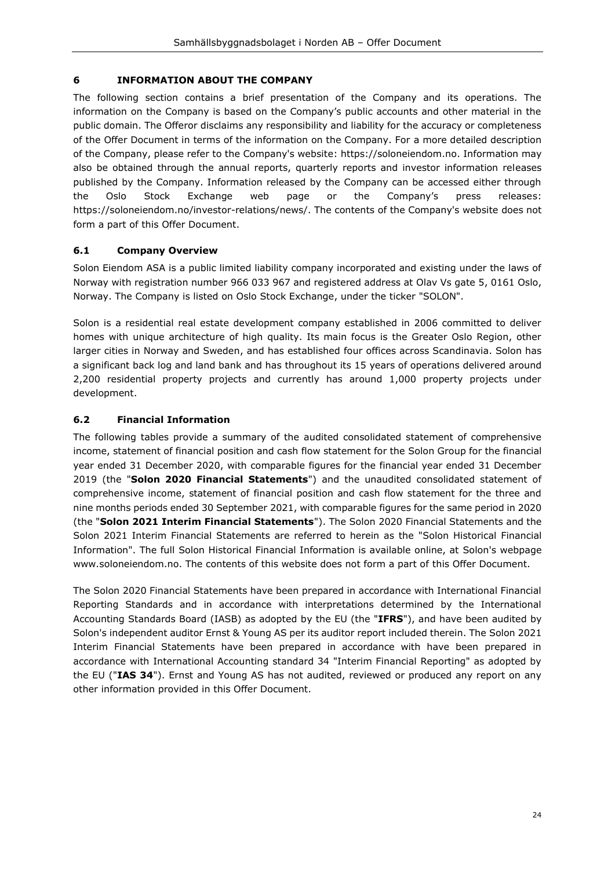## <span id="page-23-0"></span>**6 INFORMATION ABOUT THE COMPANY**

The following section contains a brief presentation of the Company and its operations. The information on the Company is based on the Company's public accounts and other material in the public domain. The Offeror disclaims any responsibility and liability for the accuracy or completeness of the Offer Document in terms of the information on the Company. For a more detailed description of the Company, please refer to the Company's website: https:/[/soloneiendom.no.](https://soloneiendom.no/) Information may also be obtained through the annual reports, quarterly reports and investor information releases published by the Company. Information released by the Company can be accessed either through the Oslo Stock Exchange web page or the Company's press releases: https:/[/soloneiendom.no/investor-relations/news/.](https://soloneiendom.no/investor-relations/news/) The contents of the Company's website does not form a part of this Offer Document.

# <span id="page-23-1"></span>**6.1 Company Overview**

Solon Eiendom ASA is a public limited liability company incorporated and existing under the laws of Norway with registration number 966 033 967 and registered address at Olav Vs gate 5, 0161 Oslo, Norway. The Company is listed on Oslo Stock Exchange, under the ticker "SOLON".

Solon is a residential real estate development company established in 2006 committed to deliver homes with unique architecture of high quality. Its main focus is the Greater Oslo Region, other larger cities in Norway and Sweden, and has established four offices across Scandinavia. Solon has a significant back log and land bank and has throughout its 15 years of operations delivered around 2,200 residential property projects and currently has around 1,000 property projects under development.

# <span id="page-23-2"></span>**6.2 Financial Information**

The following tables provide a summary of the audited consolidated statement of comprehensive income, statement of financial position and cash flow statement for the Solon Group for the financial year ended 31 December 2020, with comparable figures for the financial year ended 31 December 2019 (the "**Solon 2020 Financial Statements**") and the unaudited consolidated statement of comprehensive income, statement of financial position and cash flow statement for the three and nine months periods ended 30 September 2021, with comparable figures for the same period in 2020 (the "**Solon 2021 Interim Financial Statements**"). The Solon 2020 Financial Statements and the Solon 2021 Interim Financial Statements are referred to herein as the "Solon Historical Financial Information". The full Solon Historical Financial Information is available online, at Solon's webpage www.soloneiendom.no. The contents of this website does not form a part of this Offer Document.

The Solon 2020 Financial Statements have been prepared in accordance with International Financial Reporting Standards and in accordance with interpretations determined by the International Accounting Standards Board (IASB) as adopted by the EU (the "**IFRS**"), and have been audited by Solon's independent auditor Ernst & Young AS per its auditor report included therein. The Solon 2021 Interim Financial Statements have been prepared in accordance with have been prepared in accordance with International Accounting standard 34 "Interim Financial Reporting" as adopted by the EU ("**IAS 34**"). Ernst and Young AS has not audited, reviewed or produced any report on any other information provided in this Offer Document.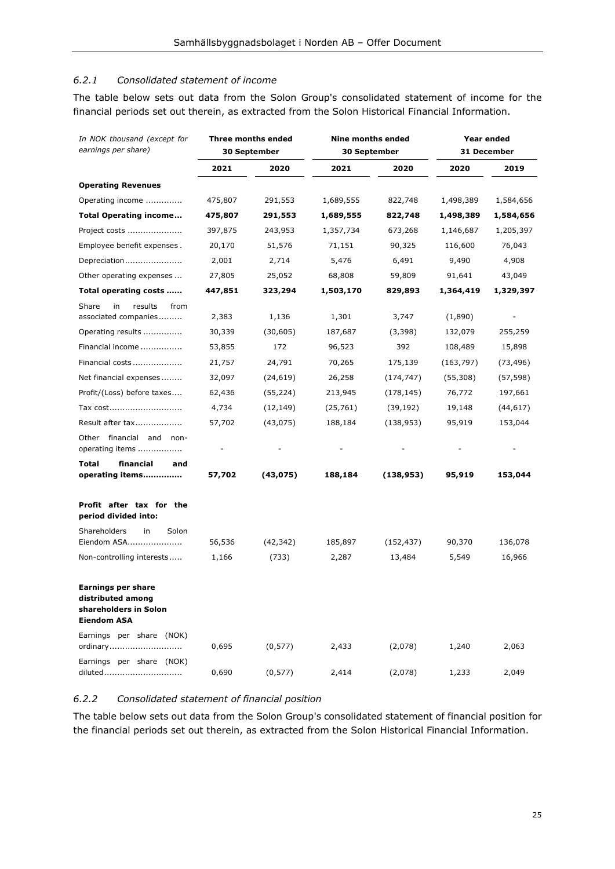#### <span id="page-24-0"></span>*6.2.1 Consolidated statement of income*

The table below sets out data from the Solon Group's consolidated statement of income for the financial periods set out therein, as extracted from the Solon Historical Financial Information.

| In NOK thousand (except for                                                            | <b>Three months ended</b> |              | <b>Nine months ended</b> |            | Year ended  |           |
|----------------------------------------------------------------------------------------|---------------------------|--------------|--------------------------|------------|-------------|-----------|
| earnings per share)                                                                    |                           | 30 September | 30 September             |            | 31 December |           |
|                                                                                        | 2021                      | 2020         | 2021                     | 2020       | 2020        | 2019      |
| <b>Operating Revenues</b>                                                              |                           |              |                          |            |             |           |
| Operating income                                                                       | 475,807                   | 291,553      | 1,689,555                | 822,748    | 1,498,389   | 1,584,656 |
| <b>Total Operating income</b>                                                          | 475,807                   | 291,553      | 1,689,555                | 822,748    | 1,498,389   | 1,584,656 |
| Project costs                                                                          | 397,875                   | 243,953      | 1,357,734                | 673,268    | 1,146,687   | 1,205,397 |
| Employee benefit expenses.                                                             | 20,170                    | 51,576       | 71,151                   | 90,325     | 116,600     | 76,043    |
| Depreciation                                                                           | 2,001                     | 2,714        | 5,476                    | 6,491      | 9,490       | 4,908     |
| Other operating expenses                                                               | 27,805                    | 25,052       | 68,808                   | 59,809     | 91,641      | 43,049    |
| Total operating costs                                                                  | 447,851                   | 323,294      | 1,503,170                | 829,893    | 1,364,419   | 1,329,397 |
| Share<br>in<br>results<br>from<br>associated companies                                 | 2,383                     | 1,136        | 1,301                    | 3,747      | (1,890)     |           |
| Operating results                                                                      | 30,339                    | (30, 605)    | 187,687                  | (3,398)    | 132,079     | 255,259   |
| Financial income                                                                       | 53,855                    | 172          | 96,523                   | 392        | 108,489     | 15,898    |
| Financial costs                                                                        | 21,757                    | 24,791       | 70,265                   | 175,139    | (163, 797)  | (73, 496) |
| Net financial expenses                                                                 | 32,097                    | (24, 619)    | 26,258                   | (174, 747) | (55, 308)   | (57, 598) |
| Profit/(Loss) before taxes                                                             | 62,436                    | (55, 224)    | 213,945                  | (178, 145) | 76,772      | 197,661   |
| Tax cost                                                                               | 4,734                     | (12, 149)    | (25, 761)                | (39, 192)  | 19,148      | (44, 617) |
| Result after tax                                                                       | 57,702                    | (43, 075)    | 188,184                  | (138, 953) | 95,919      | 153,044   |
| Other financial and non-<br>operating items                                            |                           |              |                          |            |             |           |
| <b>Total</b><br>financial<br>and<br>operating items                                    | 57,702                    | (43, 075)    | 188,184                  | (138,953)  | 95,919      | 153,044   |
| Profit after tax for the<br>period divided into:                                       |                           |              |                          |            |             |           |
| Shareholders<br>in<br>Solon<br>Eiendom ASA                                             | 56,536                    | (42, 342)    | 185,897                  | (152, 437) | 90,370      | 136,078   |
| Non-controlling interests                                                              | 1,166                     | (733)        | 2,287                    | 13,484     | 5,549       | 16,966    |
| Earnings per share<br>distributed among<br>shareholders in Solon<br><b>Eiendom ASA</b> |                           |              |                          |            |             |           |
| Earnings per share (NOK)<br>ordinary                                                   | 0,695                     | (0, 577)     | 2,433                    | (2,078)    | 1,240       | 2,063     |
| Earnings per share (NOK)<br>diluted                                                    | 0,690                     | (0, 577)     | 2,414                    | (2,078)    | 1,233       | 2,049     |

#### <span id="page-24-1"></span>*6.2.2 Consolidated statement of financial position*

The table below sets out data from the Solon Group's consolidated statement of financial position for the financial periods set out therein, as extracted from the Solon Historical Financial Information.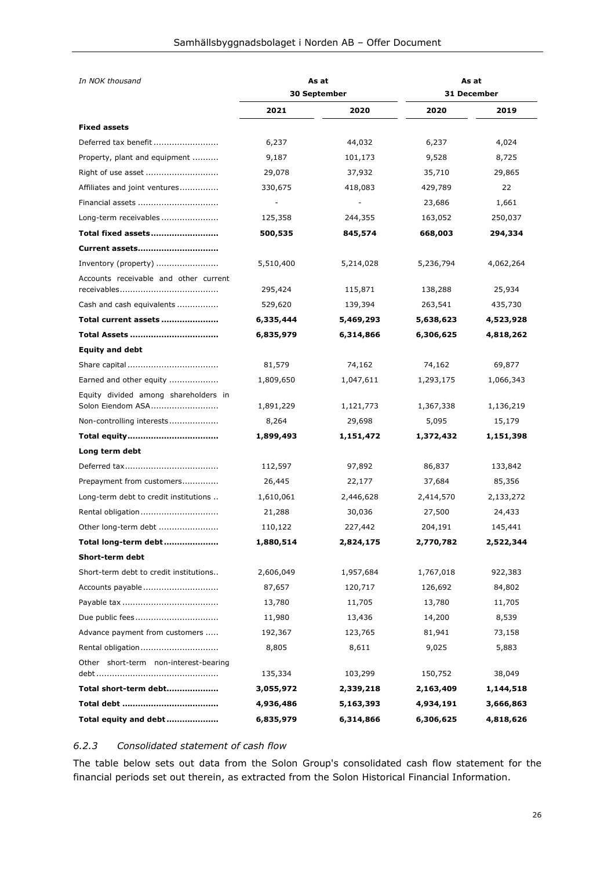| In NOK thousand                        |           | As at                    | As at              |           |
|----------------------------------------|-----------|--------------------------|--------------------|-----------|
|                                        |           | <b>30 September</b>      | <b>31 December</b> |           |
|                                        | 2021      | 2020                     | 2020               | 2019      |
| <b>Fixed assets</b>                    |           |                          |                    |           |
| Deferred tax benefit                   | 6,237     | 44,032                   | 6,237              | 4,024     |
| Property, plant and equipment          | 9,187     | 101,173                  | 9,528              | 8,725     |
|                                        | 29,078    | 37,932                   | 35,710             | 29,865    |
| Affiliates and joint ventures          | 330,675   | 418,083                  | 429,789            | 22        |
| Financial assets                       |           | $\overline{\phantom{a}}$ | 23,686             | 1,661     |
| Long-term receivables                  | 125,358   | 244,355                  | 163,052            | 250,037   |
| Total fixed assets                     | 500,535   | 845,574                  | 668,003            | 294,334   |
| Current assets                         |           |                          |                    |           |
| Inventory (property)                   | 5,510,400 | 5,214,028                | 5,236,794          | 4,062,264 |
| Accounts receivable and other current  | 295,424   | 115,871                  | 138,288            | 25,934    |
| Cash and cash equivalents              | 529,620   | 139,394                  | 263,541            | 435,730   |
| Total current assets                   | 6,335,444 | 5,469,293                | 5,638,623          | 4,523,928 |
|                                        | 6,835,979 | 6,314,866                | 6,306,625          | 4,818,262 |
| <b>Equity and debt</b>                 |           |                          |                    |           |
|                                        | 81,579    | 74,162                   | 74,162             | 69,877    |
| Earned and other equity                | 1,809,650 | 1,047,611                | 1,293,175          | 1,066,343 |
| Equity divided among shareholders in   |           |                          |                    |           |
| Solon Eiendom ASA                      | 1,891,229 | 1,121,773                | 1,367,338          | 1,136,219 |
| Non-controlling interests              | 8,264     | 29,698                   | 5,095              | 15,179    |
|                                        | 1,899,493 | 1,151,472                | 1,372,432          | 1,151,398 |
| Long term debt                         |           |                          |                    |           |
|                                        | 112,597   | 97,892                   | 86,837             | 133,842   |
| Prepayment from customers              | 26,445    | 22,177                   | 37,684             | 85,356    |
| Long-term debt to credit institutions  | 1,610,061 | 2,446,628                | 2,414,570          | 2,133,272 |
| Rental obligation                      | 21,288    | 30,036                   | 27,500             | 24,433    |
| Other long-term debt                   | 110,122   | 227,442                  | 204,191            | 145,441   |
| Total long-term debt                   | 1,880,514 | 2,824,175                | 2,770,782          | 2,522,344 |
| Short-term debt                        |           |                          |                    |           |
| Short-term debt to credit institutions | 2,606,049 | 1,957,684                | 1,767,018          | 922,383   |
| Accounts payable                       | 87,657    | 120,717                  | 126,692            | 84,802    |
|                                        | 13,780    | 11,705                   | 13,780             | 11,705    |
|                                        | 11,980    | 13,436                   | 14,200             | 8,539     |
| Advance payment from customers         | 192,367   | 123,765                  | 81,941             | 73,158    |
|                                        | 8,805     | 8,611                    | 9,025              | 5,883     |
| Other short-term non-interest-bearing  |           |                          |                    |           |
|                                        | 135,334   | 103,299                  | 150,752            | 38,049    |
| Total short-term debt                  | 3,055,972 | 2,339,218                | 2,163,409          | 1,144,518 |
|                                        | 4,936,486 | 5,163,393                | 4,934,191          | 3,666,863 |
| Total equity and debt                  | 6,835,979 | 6,314,866                | 6,306,625          | 4,818,626 |

#### <span id="page-25-0"></span>*6.2.3 Consolidated statement of cash flow*

The table below sets out data from the Solon Group's consolidated cash flow statement for the financial periods set out therein, as extracted from the Solon Historical Financial Information.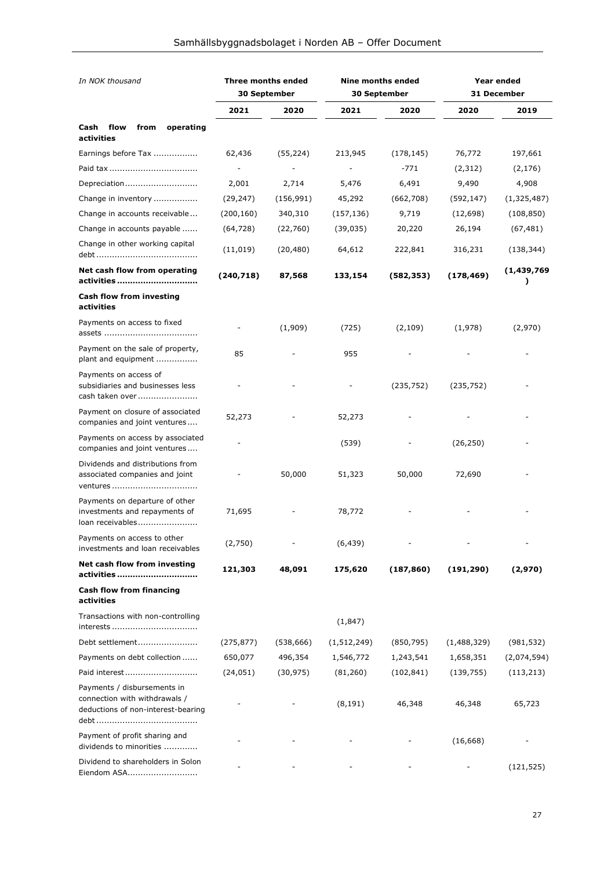| In NOK thousand                                                                                    | <b>Three months ended</b><br>30 September |            | <b>Nine months ended</b><br>30 September |            | Year ended<br>31 December |                  |
|----------------------------------------------------------------------------------------------------|-------------------------------------------|------------|------------------------------------------|------------|---------------------------|------------------|
|                                                                                                    | 2021                                      | 2020       | 2021                                     | 2020       | 2020                      | 2019             |
| Cash<br>flow<br>operating<br>from<br>activities                                                    |                                           |            |                                          |            |                           |                  |
| Earnings before Tax                                                                                | 62,436                                    | (55, 224)  | 213,945                                  | (178, 145) | 76,772                    | 197,661          |
|                                                                                                    |                                           |            |                                          | $-771$     | (2,312)                   | (2, 176)         |
| Depreciation                                                                                       | 2,001                                     | 2,714      | 5,476                                    | 6,491      | 9,490                     | 4,908            |
| Change in inventory                                                                                | (29, 247)                                 | (156, 991) | 45,292                                   | (662,708)  | (592, 147)                | (1,325,487)      |
| Change in accounts receivable                                                                      | (200, 160)                                | 340,310    | (157, 136)                               | 9,719      | (12, 698)                 | (108, 850)       |
| Change in accounts payable                                                                         | (64, 728)                                 | (22,760)   | (39, 035)                                | 20,220     | 26,194                    | (67, 481)        |
| Change in other working capital                                                                    | (11, 019)                                 | (20, 480)  | 64,612                                   | 222,841    | 316,231                   | (138, 344)       |
| Net cash flow from operating<br>activities                                                         | (240, 718)                                | 87,568     | 133,154                                  | (582, 353) | (178, 469)                | (1,439,769)<br>) |
| <b>Cash flow from investing</b><br>activities                                                      |                                           |            |                                          |            |                           |                  |
| Payments on access to fixed                                                                        |                                           | (1,909)    | (725)                                    | (2, 109)   | (1,978)                   | (2,970)          |
| Payment on the sale of property,<br>plant and equipment                                            | 85                                        |            | 955                                      |            |                           |                  |
| Payments on access of<br>subsidiaries and businesses less<br>cash taken over                       |                                           |            |                                          | (235, 752) | (235, 752)                |                  |
| Payment on closure of associated<br>companies and joint ventures                                   | 52,273                                    |            | 52,273                                   |            |                           |                  |
| Payments on access by associated<br>companies and joint ventures                                   |                                           |            | (539)                                    |            | (26, 250)                 |                  |
| Dividends and distributions from<br>associated companies and joint<br>ventures                     |                                           | 50,000     | 51,323                                   | 50,000     | 72,690                    |                  |
| Payments on departure of other<br>investments and repayments of<br>loan receivables                | 71,695                                    |            | 78,772                                   |            |                           |                  |
| Payments on access to other<br>investments and loan receivables                                    | (2,750)                                   |            | (6, 439)                                 |            |                           |                  |
| Net cash flow from investing<br>activities                                                         | 121,303                                   | 48,091     | 175,620                                  | (187, 860) | (191, 290)                | (2,970)          |
| <b>Cash flow from financing</b><br>activities                                                      |                                           |            |                                          |            |                           |                  |
| Transactions with non-controlling<br>interests                                                     |                                           |            | (1,847)                                  |            |                           |                  |
| Debt settlement                                                                                    | (275, 877)                                | (538, 666) | (1, 512, 249)                            | (850, 795) | (1,488,329)               | (981, 532)       |
| Payments on debt collection                                                                        | 650,077                                   | 496,354    | 1,546,772                                | 1,243,541  | 1,658,351                 | (2,074,594)      |
| Paid interest                                                                                      | (24, 051)                                 | (30, 975)  | (81, 260)                                | (102, 841) | (139, 755)                | (113, 213)       |
| Payments / disbursements in<br>connection with withdrawals /<br>deductions of non-interest-bearing |                                           |            | (8, 191)                                 | 46,348     | 46,348                    | 65,723           |
| Payment of profit sharing and<br>dividends to minorities                                           |                                           |            |                                          |            | (16, 668)                 |                  |
| Dividend to shareholders in Solon<br>Eiendom ASA                                                   |                                           |            |                                          |            |                           | (121, 525)       |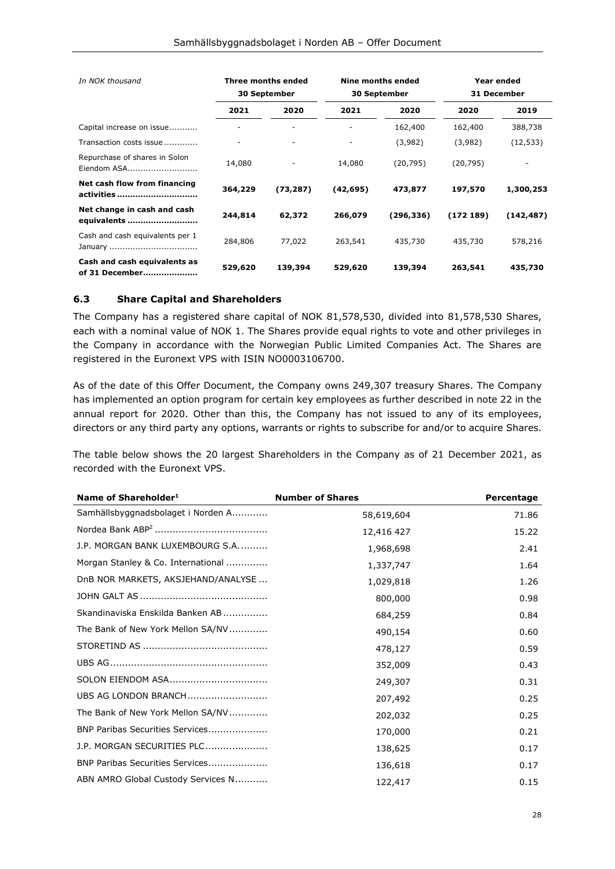| In NOK thousand                                | Three months ended<br><b>30 September</b> |           | Nine months ended<br><b>30 September</b> |            | Year ended<br><b>31 December</b> |            |
|------------------------------------------------|-------------------------------------------|-----------|------------------------------------------|------------|----------------------------------|------------|
|                                                | 2021                                      | 2020      | 2021                                     | 2020       | 2020                             | 2019       |
| Capital increase on issue                      |                                           |           |                                          | 162,400    | 162,400                          | 388,738    |
| Transaction costs issue                        |                                           | ۰         | ٠                                        | (3,982)    | (3,982)                          | (12, 533)  |
| Repurchase of shares in Solon<br>Eiendom ASA   | 14,080                                    |           | 14,080                                   | (20, 795)  | (20, 795)                        |            |
| Net cash flow from financing<br>activities     | 364,229                                   | (73, 287) | (42,695)                                 | 473,877    | 197,570                          | 1,300,253  |
| Net change in cash and cash<br>equivalents     | 244,814                                   | 62,372    | 266,079                                  | (296, 336) | (172189)                         | (142, 487) |
| Cash and cash equivalents per 1                | 284,806                                   | 77,022    | 263,541                                  | 435,730    | 435,730                          | 578,216    |
| Cash and cash equivalents as<br>of 31 December | 529,620                                   | 139,394   | 529,620                                  | 139,394    | 263,541                          | 435,730    |

#### <span id="page-27-0"></span>**6.3 Share Capital and Shareholders**

The Company has a registered share capital of NOK 81,578,530, divided into 81,578,530 Shares, each with a nominal value of NOK 1. The Shares provide equal rights to vote and other privileges in the Company in accordance with the Norwegian Public Limited Companies Act. The Shares are registered in the Euronext VPS with ISIN NO0003106700.

As of the date of this Offer Document, the Company owns 249,307 treasury Shares. The Company has implemented an option program for certain key employees as further described in note 22 in the annual report for 2020. Other than this, the Company has not issued to any of its employees, directors or any third party any options, warrants or rights to subscribe for and/or to acquire Shares.

The table below shows the 20 largest Shareholders in the Company as of 21 December 2021, as recorded with the Euronext VPS.

| Name of Shareholder <sup>1</sup>   | <b>Number of Shares</b> | Percentage |
|------------------------------------|-------------------------|------------|
| Samhällsbyggnadsbolaget i Norden A | 58,619,604              | 71.86      |
|                                    | 12,416 427              | 15.22      |
| J.P. MORGAN BANK LUXEMBOURG S.A.   | 1,968,698               | 2.41       |
| Morgan Stanley & Co. International | 1,337,747               | 1.64       |
| DnB NOR MARKETS, AKSJEHAND/ANALYSE | 1,029,818               | 1.26       |
|                                    | 800,000                 | 0.98       |
| Skandinaviska Enskilda Banken AB   | 684,259                 | 0.84       |
| The Bank of New York Mellon SA/NV  | 490,154                 | 0.60       |
|                                    | 478,127                 | 0.59       |
|                                    | 352,009                 | 0.43       |
|                                    | 249,307                 | 0.31       |
| UBS AG LONDON BRANCH               | 207,492                 | 0.25       |
| The Bank of New York Mellon SA/NV  | 202,032                 | 0.25       |
| BNP Paribas Securities Services    | 170,000                 | 0.21       |
| J.P. MORGAN SECURITIES PLC         | 138,625                 | 0.17       |
| BNP Paribas Securities Services    | 136,618                 | 0.17       |
| ABN AMRO Global Custody Services N | 122,417                 | 0.15       |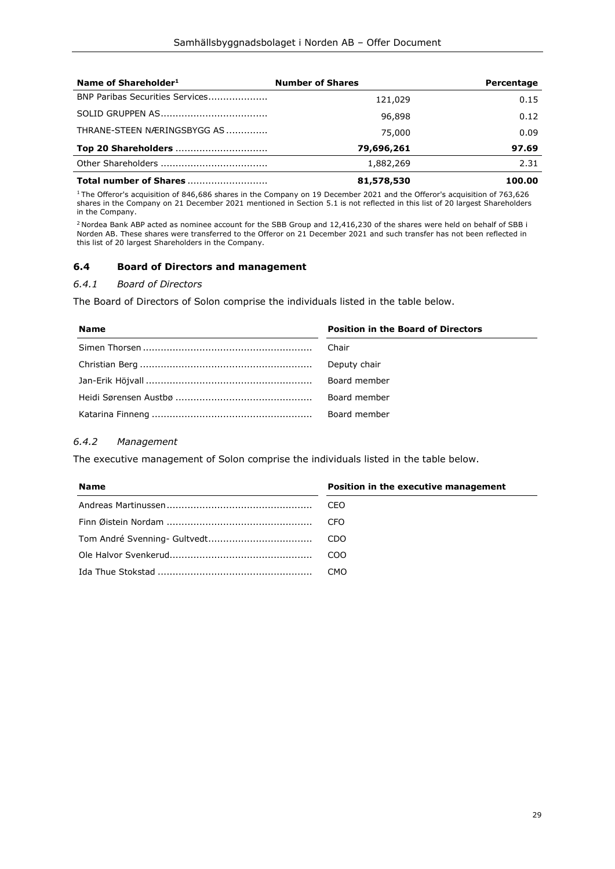| Name of Shareholder <sup>1</sup> | <b>Number of Shares</b> | Percentage |
|----------------------------------|-------------------------|------------|
| BNP Paribas Securities Services  | 121,029                 | 0.15       |
|                                  | 96,898                  | 0.12       |
| THRANE-STEEN NÆRINGSBYGG AS      | 75,000                  | 0.09       |
| Top 20 Shareholders              | 79,696,261              | 97.69      |
|                                  | 1,882,269               | 2.31       |
| Total number of Shares           | 81,578,530              | 100.00     |

<sup>1</sup> The Offeror's acquisition of 846,686 shares in the Company on 19 December 2021 and the Offeror's acquisition of 763,626 shares in the Company on 21 December 2021 mentioned in Section [5.1](#page-18-1) is not reflected in this list of 20 largest Shareholders in the Company.

<sup>2</sup> Nordea Bank ABP acted as nominee account for the SBB Group and 12,416,230 of the shares were held on behalf of SBB i Norden AB. These shares were transferred to the Offeror on 21 December 2021 and such transfer has not been reflected in this list of 20 largest Shareholders in the Company.

#### <span id="page-28-0"></span>**6.4 Board of Directors and management**

#### <span id="page-28-1"></span>*6.4.1 Board of Directors*

The Board of Directors of Solon comprise the individuals listed in the table below.

| <b>Name</b> | <b>Position in the Board of Directors</b> |
|-------------|-------------------------------------------|
|             | Chair                                     |
|             | Deputy chair                              |
|             | Board member                              |
|             | Board member                              |
|             | Board member                              |

#### <span id="page-28-2"></span>*6.4.2 Management*

The executive management of Solon comprise the individuals listed in the table below.

| <b>Name</b> | Position in the executive management |
|-------------|--------------------------------------|
|             | CEO                                  |
|             | CFO                                  |
|             | CDO                                  |
|             | COO                                  |
|             | CMO                                  |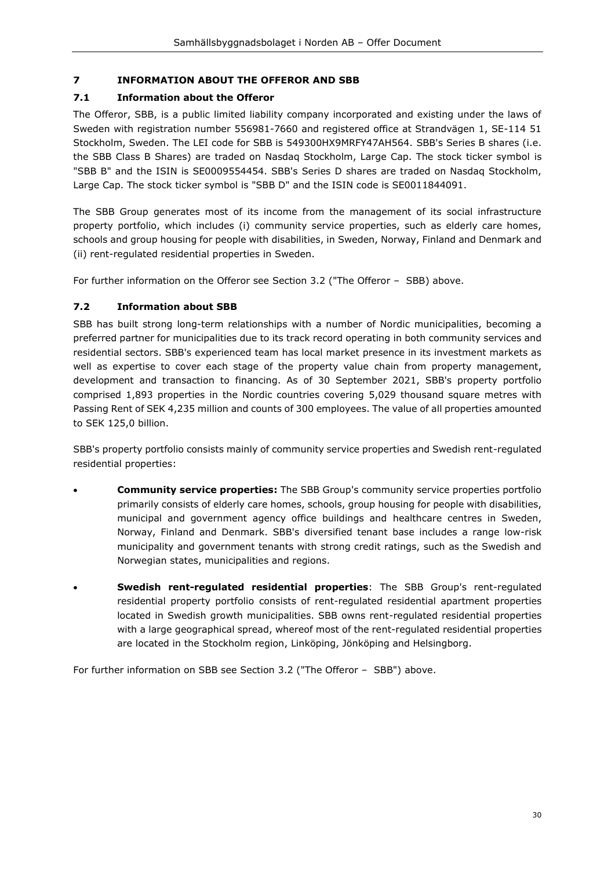# <span id="page-29-0"></span>**7 INFORMATION ABOUT THE OFFEROR AND SBB**

# <span id="page-29-1"></span>**7.1 Information about the Offeror**

The Offeror, SBB, is a public limited liability company incorporated and existing under the laws of Sweden with registration number 556981-7660 and registered office at Strandvägen 1, SE-114 51 Stockholm, Sweden. The LEI code for SBB is 549300HX9MRFY47AH564. SBB's Series B shares (i.e. the SBB Class B Shares) are traded on Nasdaq Stockholm, Large Cap. The stock ticker symbol is "SBB B" and the ISIN is SE0009554454. SBB's Series D shares are traded on Nasdaq Stockholm, Large Cap. The stock ticker symbol is "SBB D" and the ISIN code is SE0011844091.

The SBB Group generates most of its income from the management of its social infrastructure property portfolio, which includes (i) community service properties, such as elderly care homes, schools and group housing for people with disabilities, in Sweden, Norway, Finland and Denmark and (ii) rent-regulated residential properties in Sweden.

For further information on the Offeror see Section [3.2](#page-10-2) (["The Offeror](#page-10-2) – SBB) above.

# <span id="page-29-2"></span>**7.2 Information about SBB**

SBB has built strong long-term relationships with a number of Nordic municipalities, becoming a preferred partner for municipalities due to its track record operating in both community services and residential sectors. SBB's experienced team has local market presence in its investment markets as well as expertise to cover each stage of the property value chain from property management, development and transaction to financing. As of 30 September 2021, SBB's property portfolio comprised 1,893 properties in the Nordic countries covering 5,029 thousand square metres with Passing Rent of SEK 4,235 million and counts of 300 employees. The value of all properties amounted to SEK 125,0 billion.

SBB's property portfolio consists mainly of community service properties and Swedish rent-regulated residential properties:

- **Community service properties:** The SBB Group's community service properties portfolio primarily consists of elderly care homes, schools, group housing for people with disabilities, municipal and government agency office buildings and healthcare centres in Sweden, Norway, Finland and Denmark. SBB's diversified tenant base includes a range low-risk municipality and government tenants with strong credit ratings, such as the Swedish and Norwegian states, municipalities and regions.
- **Swedish rent-regulated residential properties**: The SBB Group's rent-regulated residential property portfolio consists of rent-regulated residential apartment properties located in Swedish growth municipalities. SBB owns rent-regulated residential properties with a large geographical spread, whereof most of the rent-regulated residential properties are located in the Stockholm region, Linköping, Jönköping and Helsingborg.

For further information on SBB see Section [3.2](#page-10-2) (["The Offeror](#page-10-2) – SBB") above.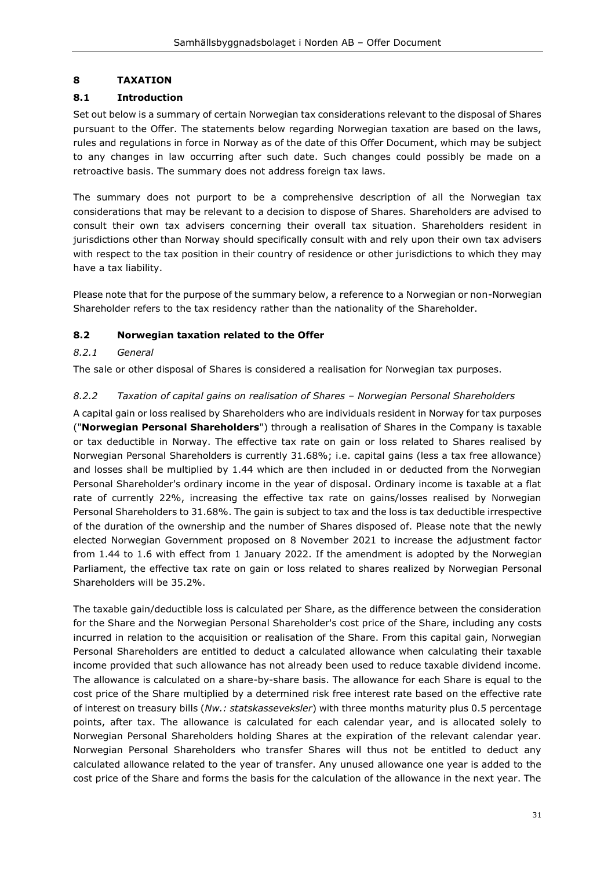# <span id="page-30-0"></span>**8 TAXATION**

# <span id="page-30-1"></span>**8.1 Introduction**

Set out below is a summary of certain Norwegian tax considerations relevant to the disposal of Shares pursuant to the Offer. The statements below regarding Norwegian taxation are based on the laws, rules and regulations in force in Norway as of the date of this Offer Document, which may be subject to any changes in law occurring after such date. Such changes could possibly be made on a retroactive basis. The summary does not address foreign tax laws.

The summary does not purport to be a comprehensive description of all the Norwegian tax considerations that may be relevant to a decision to dispose of Shares. Shareholders are advised to consult their own tax advisers concerning their overall tax situation. Shareholders resident in jurisdictions other than Norway should specifically consult with and rely upon their own tax advisers with respect to the tax position in their country of residence or other jurisdictions to which they may have a tax liability.

Please note that for the purpose of the summary below, a reference to a Norwegian or non-Norwegian Shareholder refers to the tax residency rather than the nationality of the Shareholder.

# <span id="page-30-2"></span>**8.2 Norwegian taxation related to the Offer**

#### <span id="page-30-3"></span>*8.2.1 General*

The sale or other disposal of Shares is considered a realisation for Norwegian tax purposes.

#### <span id="page-30-4"></span>*8.2.2 Taxation of capital gains on realisation of Shares – Norwegian Personal Shareholders*

A capital gain or loss realised by Shareholders who are individuals resident in Norway for tax purposes ("**Norwegian Personal Shareholders**") through a realisation of Shares in the Company is taxable or tax deductible in Norway. The effective tax rate on gain or loss related to Shares realised by Norwegian Personal Shareholders is currently 31.68%; i.e. capital gains (less a tax free allowance) and losses shall be multiplied by 1.44 which are then included in or deducted from the Norwegian Personal Shareholder's ordinary income in the year of disposal. Ordinary income is taxable at a flat rate of currently 22%, increasing the effective tax rate on gains/losses realised by Norwegian Personal Shareholders to 31.68%. The gain is subject to tax and the loss is tax deductible irrespective of the duration of the ownership and the number of Shares disposed of. Please note that the newly elected Norwegian Government proposed on 8 November 2021 to increase the adjustment factor from 1.44 to 1.6 with effect from 1 January 2022. If the amendment is adopted by the Norwegian Parliament, the effective tax rate on gain or loss related to shares realized by Norwegian Personal Shareholders will be 35.2%.

The taxable gain/deductible loss is calculated per Share, as the difference between the consideration for the Share and the Norwegian Personal Shareholder's cost price of the Share, including any costs incurred in relation to the acquisition or realisation of the Share. From this capital gain, Norwegian Personal Shareholders are entitled to deduct a calculated allowance when calculating their taxable income provided that such allowance has not already been used to reduce taxable dividend income. The allowance is calculated on a share-by-share basis. The allowance for each Share is equal to the cost price of the Share multiplied by a determined risk free interest rate based on the effective rate of interest on treasury bills (*Nw.: statskasseveksler*) with three months maturity plus 0.5 percentage points, after tax. The allowance is calculated for each calendar year, and is allocated solely to Norwegian Personal Shareholders holding Shares at the expiration of the relevant calendar year. Norwegian Personal Shareholders who transfer Shares will thus not be entitled to deduct any calculated allowance related to the year of transfer. Any unused allowance one year is added to the cost price of the Share and forms the basis for the calculation of the allowance in the next year. The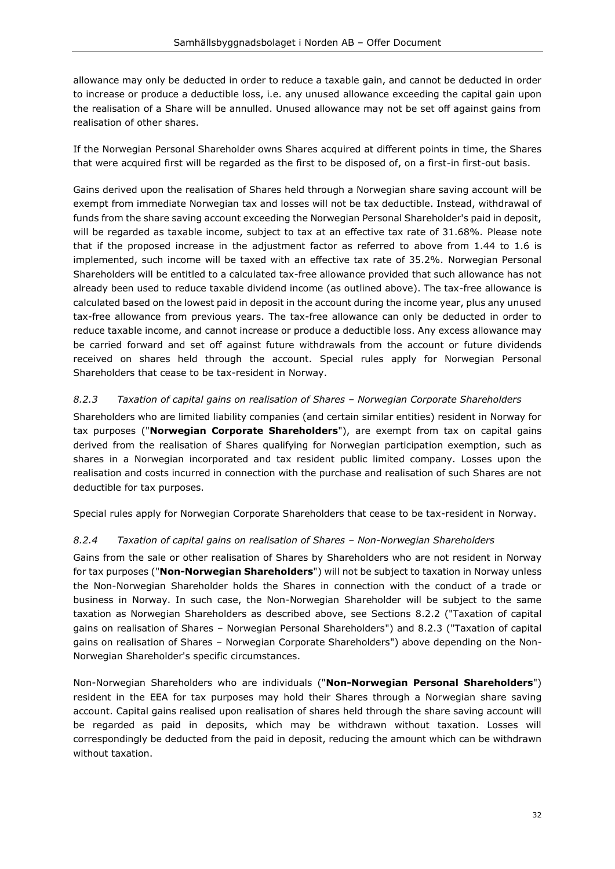allowance may only be deducted in order to reduce a taxable gain, and cannot be deducted in order to increase or produce a deductible loss, i.e. any unused allowance exceeding the capital gain upon the realisation of a Share will be annulled. Unused allowance may not be set off against gains from realisation of other shares.

If the Norwegian Personal Shareholder owns Shares acquired at different points in time, the Shares that were acquired first will be regarded as the first to be disposed of, on a first-in first-out basis.

Gains derived upon the realisation of Shares held through a Norwegian share saving account will be exempt from immediate Norwegian tax and losses will not be tax deductible. Instead, withdrawal of funds from the share saving account exceeding the Norwegian Personal Shareholder's paid in deposit, will be regarded as taxable income, subject to tax at an effective tax rate of 31.68%. Please note that if the proposed increase in the adjustment factor as referred to above from 1.44 to 1.6 is implemented, such income will be taxed with an effective tax rate of 35.2%. Norwegian Personal Shareholders will be entitled to a calculated tax-free allowance provided that such allowance has not already been used to reduce taxable dividend income (as outlined above). The tax-free allowance is calculated based on the lowest paid in deposit in the account during the income year, plus any unused tax-free allowance from previous years. The tax-free allowance can only be deducted in order to reduce taxable income, and cannot increase or produce a deductible loss. Any excess allowance may be carried forward and set off against future withdrawals from the account or future dividends received on shares held through the account. Special rules apply for Norwegian Personal Shareholders that cease to be tax-resident in Norway.

# <span id="page-31-0"></span>*8.2.3 Taxation of capital gains on realisation of Shares – Norwegian Corporate Shareholders*

Shareholders who are limited liability companies (and certain similar entities) resident in Norway for tax purposes ("**Norwegian Corporate Shareholders**"), are exempt from tax on capital gains derived from the realisation of Shares qualifying for Norwegian participation exemption, such as shares in a Norwegian incorporated and tax resident public limited company. Losses upon the realisation and costs incurred in connection with the purchase and realisation of such Shares are not deductible for tax purposes.

Special rules apply for Norwegian Corporate Shareholders that cease to be tax-resident in Norway.

#### <span id="page-31-1"></span>*8.2.4 Taxation of capital gains on realisation of Shares – Non-Norwegian Shareholders*

Gains from the sale or other realisation of Shares by Shareholders who are not resident in Norway for tax purposes ("**Non-Norwegian Shareholders**") will not be subject to taxation in Norway unless the Non-Norwegian Shareholder holds the Shares in connection with the conduct of a trade or business in Norway. In such case, the Non-Norwegian Shareholder will be subject to the same taxation as Norwegian Shareholders as described above, see Sections [8.2.2](#page-30-4) (["Taxation of capital](#page-30-4)  gains on realisation of Shares – [Norwegian Personal Shareholders"](#page-30-4)) and [8.2.3](#page-31-0) (["Taxation of capital](#page-31-0)  gains on realisation of Shares – [Norwegian Corporate Shareholders"](#page-31-0)) above depending on the Non-Norwegian Shareholder's specific circumstances.

Non-Norwegian Shareholders who are individuals ("**Non-Norwegian Personal Shareholders**") resident in the EEA for tax purposes may hold their Shares through a Norwegian share saving account. Capital gains realised upon realisation of shares held through the share saving account will be regarded as paid in deposits, which may be withdrawn without taxation. Losses will correspondingly be deducted from the paid in deposit, reducing the amount which can be withdrawn without taxation.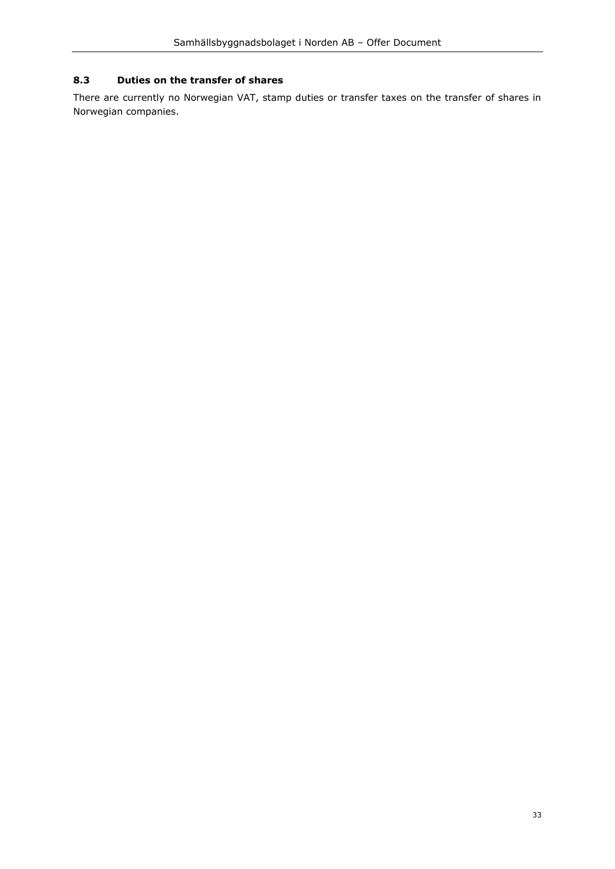# <span id="page-32-0"></span>**8.3 Duties on the transfer of shares**

There are currently no Norwegian VAT, stamp duties or transfer taxes on the transfer of shares in Norwegian companies.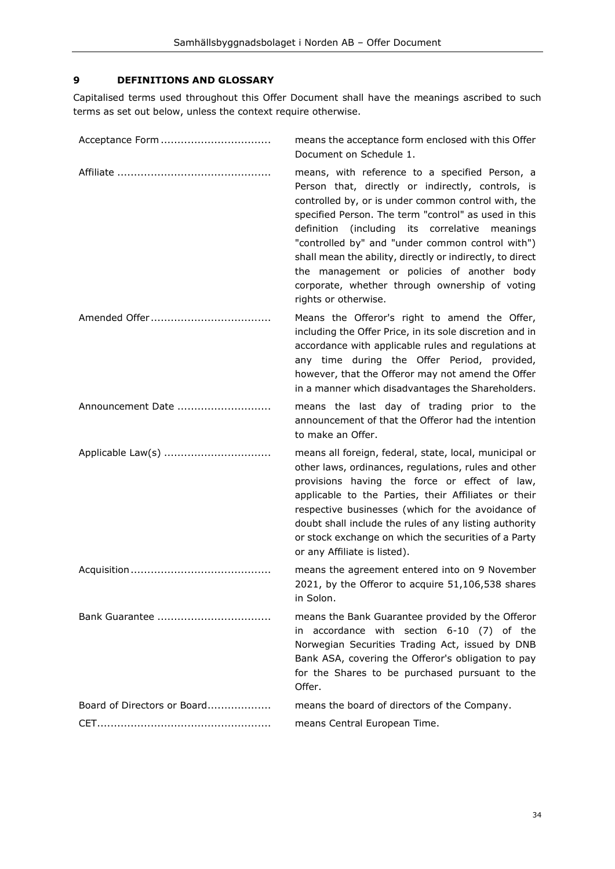# <span id="page-33-0"></span>**9 DEFINITIONS AND GLOSSARY**

Capitalised terms used throughout this Offer Document shall have the meanings ascribed to such terms as set out below, unless the context require otherwise.

|                             | means the acceptance form enclosed with this Offer<br>Document on Schedule 1.                                                                                                                                                                                                                                                                                                                                                                                                                                    |
|-----------------------------|------------------------------------------------------------------------------------------------------------------------------------------------------------------------------------------------------------------------------------------------------------------------------------------------------------------------------------------------------------------------------------------------------------------------------------------------------------------------------------------------------------------|
|                             | means, with reference to a specified Person, a<br>Person that, directly or indirectly, controls, is<br>controlled by, or is under common control with, the<br>specified Person. The term "control" as used in this<br>(including its correlative meanings<br>definition<br>"controlled by" and "under common control with")<br>shall mean the ability, directly or indirectly, to direct<br>the management or policies of another body<br>corporate, whether through ownership of voting<br>rights or otherwise. |
|                             | Means the Offeror's right to amend the Offer,<br>including the Offer Price, in its sole discretion and in<br>accordance with applicable rules and regulations at<br>any time during the Offer Period, provided,<br>however, that the Offeror may not amend the Offer<br>in a manner which disadvantages the Shareholders.                                                                                                                                                                                        |
| Announcement Date           | means the last day of trading prior to the<br>announcement of that the Offeror had the intention<br>to make an Offer.                                                                                                                                                                                                                                                                                                                                                                                            |
|                             | means all foreign, federal, state, local, municipal or<br>other laws, ordinances, regulations, rules and other<br>provisions having the force or effect of law,<br>applicable to the Parties, their Affiliates or their<br>respective businesses (which for the avoidance of<br>doubt shall include the rules of any listing authority<br>or stock exchange on which the securities of a Party<br>or any Affiliate is listed).                                                                                   |
|                             | means the agreement entered into on 9 November<br>2021, by the Offeror to acquire 51,106,538 shares<br>in Solon.                                                                                                                                                                                                                                                                                                                                                                                                 |
|                             | means the Bank Guarantee provided by the Offeror<br>in accordance with section 6-10 (7) of the<br>Norwegian Securities Trading Act, issued by DNB<br>Bank ASA, covering the Offeror's obligation to pay<br>for the Shares to be purchased pursuant to the<br>Offer.                                                                                                                                                                                                                                              |
| Board of Directors or Board | means the board of directors of the Company.                                                                                                                                                                                                                                                                                                                                                                                                                                                                     |
|                             | means Central European Time.                                                                                                                                                                                                                                                                                                                                                                                                                                                                                     |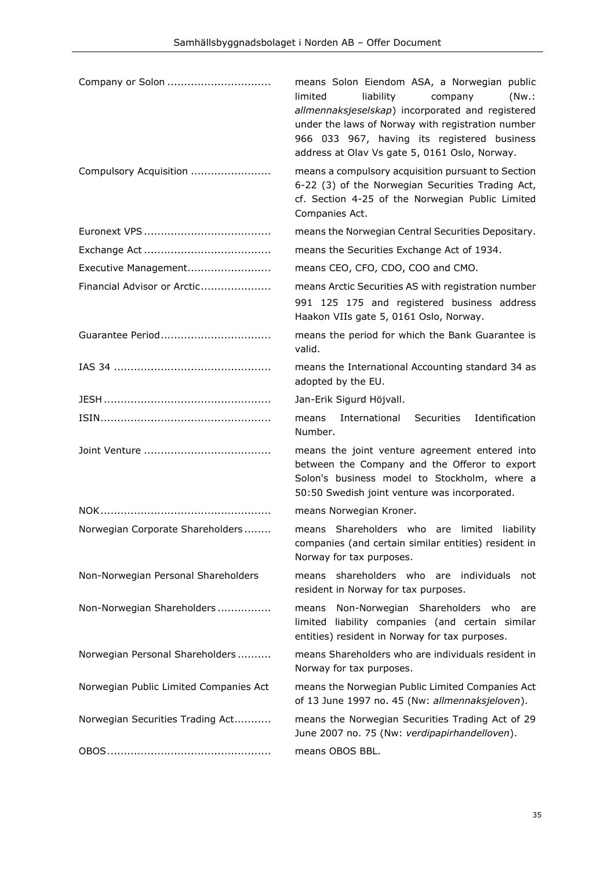|                                        | means Solon Eiendom ASA, a Norwegian public<br>limited<br>liability<br>company<br>(Nw.<br>allmennaksjeselskap) incorporated and registered<br>under the laws of Norway with registration number<br>966 033 967, having its registered business<br>address at Olav Vs gate 5, 0161 Oslo, Norway. |
|----------------------------------------|-------------------------------------------------------------------------------------------------------------------------------------------------------------------------------------------------------------------------------------------------------------------------------------------------|
| Compulsory Acquisition                 | means a compulsory acquisition pursuant to Section<br>6-22 (3) of the Norwegian Securities Trading Act,<br>cf. Section 4-25 of the Norwegian Public Limited<br>Companies Act.                                                                                                                   |
|                                        | means the Norwegian Central Securities Depositary.                                                                                                                                                                                                                                              |
|                                        | means the Securities Exchange Act of 1934.                                                                                                                                                                                                                                                      |
| Executive Management                   | means CEO, CFO, CDO, COO and CMO.                                                                                                                                                                                                                                                               |
| Financial Advisor or Arctic            | means Arctic Securities AS with registration number                                                                                                                                                                                                                                             |
|                                        | 991 125 175 and registered business address<br>Haakon VIIs gate 5, 0161 Oslo, Norway.                                                                                                                                                                                                           |
| Guarantee Period                       | means the period for which the Bank Guarantee is<br>valid.                                                                                                                                                                                                                                      |
|                                        | means the International Accounting standard 34 as<br>adopted by the EU.                                                                                                                                                                                                                         |
|                                        | Jan-Erik Sigurd Höjvall.                                                                                                                                                                                                                                                                        |
|                                        | Identification<br>International<br>Securities<br>means<br>Number.                                                                                                                                                                                                                               |
|                                        | means the joint venture agreement entered into<br>between the Company and the Offeror to export<br>Solon's business model to Stockholm, where a<br>50:50 Swedish joint venture was incorporated.                                                                                                |
|                                        | means Norwegian Kroner.                                                                                                                                                                                                                                                                         |
| Norwegian Corporate Shareholders       | means Shareholders who are limited liability<br>companies (and certain similar entities) resident in<br>Norway for tax purposes.                                                                                                                                                                |
| Non-Norwegian Personal Shareholders    | means shareholders who are individuals<br>not<br>resident in Norway for tax purposes.                                                                                                                                                                                                           |
| Non-Norwegian Shareholders             | Non-Norwegian Shareholders who are<br>means<br>limited liability companies (and certain similar<br>entities) resident in Norway for tax purposes.                                                                                                                                               |
| Norwegian Personal Shareholders        | means Shareholders who are individuals resident in<br>Norway for tax purposes.                                                                                                                                                                                                                  |
| Norwegian Public Limited Companies Act | means the Norwegian Public Limited Companies Act<br>of 13 June 1997 no. 45 (Nw: allmennaksjeloven).                                                                                                                                                                                             |
| Norwegian Securities Trading Act       | means the Norwegian Securities Trading Act of 29<br>June 2007 no. 75 (Nw: verdipapirhandelloven).                                                                                                                                                                                               |
|                                        | means OBOS BBL.                                                                                                                                                                                                                                                                                 |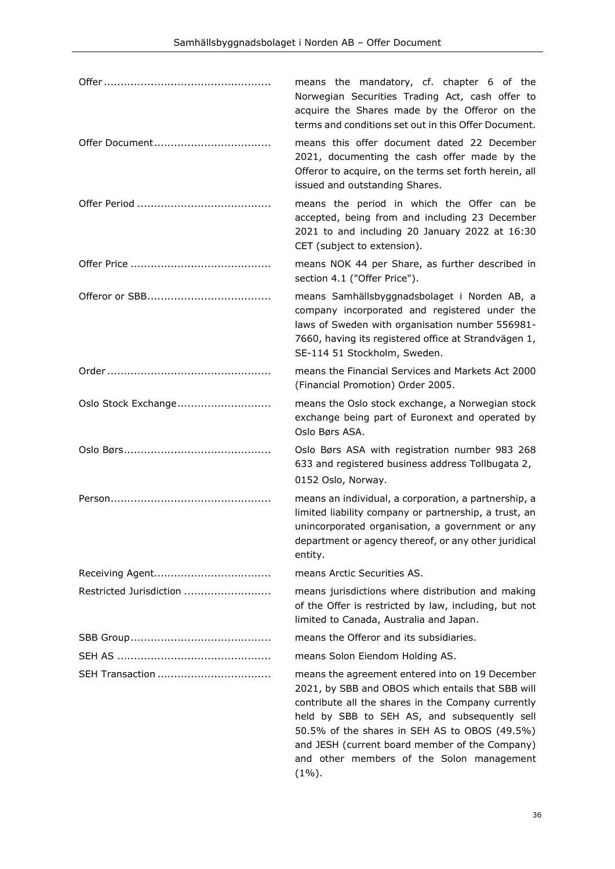|                         | means the mandatory, cf. chapter 6 of the<br>Norwegian Securities Trading Act, cash offer to<br>acquire the Shares made by the Offeror on the<br>terms and conditions set out in this Offer Document.                                                                                                                                                                   |
|-------------------------|-------------------------------------------------------------------------------------------------------------------------------------------------------------------------------------------------------------------------------------------------------------------------------------------------------------------------------------------------------------------------|
|                         | means this offer document dated 22 December<br>2021, documenting the cash offer made by the<br>Offeror to acquire, on the terms set forth herein, all<br>issued and outstanding Shares.                                                                                                                                                                                 |
|                         | means the period in which the Offer can be<br>accepted, being from and including 23 December<br>2021 to and including 20 January 2022 at 16:30<br>CET (subject to extension).                                                                                                                                                                                           |
|                         | means NOK 44 per Share, as further described in<br>section 4.1 ("Offer Price").                                                                                                                                                                                                                                                                                         |
|                         | means Samhällsbyggnadsbolaget i Norden AB, a<br>company incorporated and registered under the<br>laws of Sweden with organisation number 556981-<br>7660, having its registered office at Strandvägen 1,<br>SE-114 51 Stockholm, Sweden.                                                                                                                                |
|                         | means the Financial Services and Markets Act 2000<br>(Financial Promotion) Order 2005.                                                                                                                                                                                                                                                                                  |
| Oslo Stock Exchange     | means the Oslo stock exchange, a Norwegian stock<br>exchange being part of Euronext and operated by<br>Oslo Børs ASA.                                                                                                                                                                                                                                                   |
|                         | Oslo Børs ASA with registration number 983 268<br>633 and registered business address Tollbugata 2,<br>0152 Oslo, Norway.                                                                                                                                                                                                                                               |
|                         | means an individual, a corporation, a partnership, a<br>limited liability company or partnership, a trust, an<br>unincorporated organisation, a government or any<br>department or agency thereof, or any other juridical<br>entity.                                                                                                                                    |
|                         | means Arctic Securities AS.                                                                                                                                                                                                                                                                                                                                             |
| Restricted Jurisdiction | means jurisdictions where distribution and making<br>of the Offer is restricted by law, including, but not<br>limited to Canada, Australia and Japan.                                                                                                                                                                                                                   |
|                         | means the Offeror and its subsidiaries.                                                                                                                                                                                                                                                                                                                                 |
|                         | means Solon Eiendom Holding AS.                                                                                                                                                                                                                                                                                                                                         |
|                         | means the agreement entered into on 19 December<br>2021, by SBB and OBOS which entails that SBB will<br>contribute all the shares in the Company currently<br>held by SBB to SEH AS, and subsequently sell<br>50.5% of the shares in SEH AS to OBOS (49.5%)<br>and JESH (current board member of the Company)<br>and other members of the Solon management<br>$(1\%)$ . |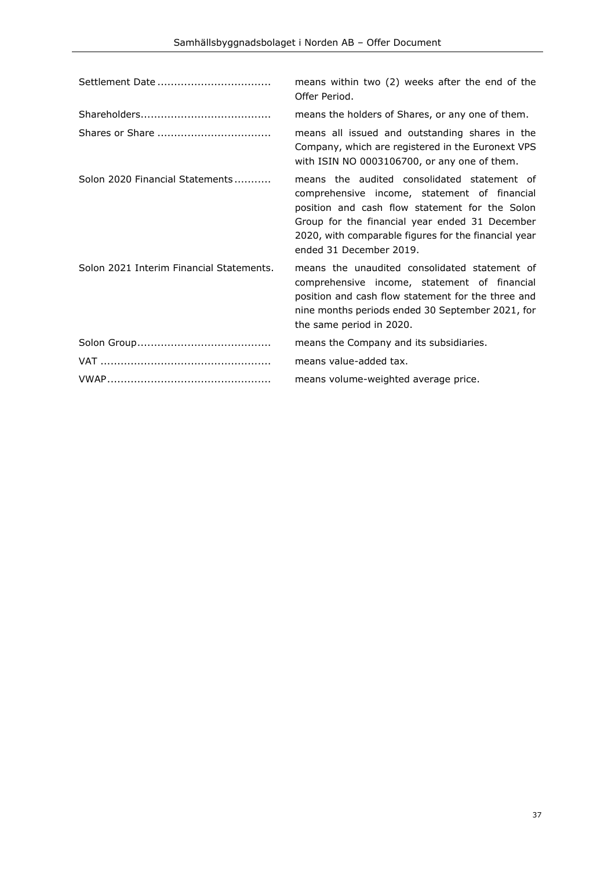| Settlement Date                          | means within two (2) weeks after the end of the<br>Offer Period.                                                                                                                                                                                                                   |
|------------------------------------------|------------------------------------------------------------------------------------------------------------------------------------------------------------------------------------------------------------------------------------------------------------------------------------|
|                                          | means the holders of Shares, or any one of them.                                                                                                                                                                                                                                   |
|                                          | means all issued and outstanding shares in the<br>Company, which are registered in the Euronext VPS<br>with ISIN NO 0003106700, or any one of them.                                                                                                                                |
| Solon 2020 Financial Statements          | means the audited consolidated statement of<br>comprehensive income, statement of financial<br>position and cash flow statement for the Solon<br>Group for the financial year ended 31 December<br>2020, with comparable figures for the financial year<br>ended 31 December 2019. |
| Solon 2021 Interim Financial Statements. | means the unaudited consolidated statement of<br>comprehensive income, statement of financial<br>position and cash flow statement for the three and<br>nine months periods ended 30 September 2021, for<br>the same period in 2020.                                                |
|                                          | means the Company and its subsidiaries.                                                                                                                                                                                                                                            |
|                                          | means value-added tax.                                                                                                                                                                                                                                                             |
|                                          | means volume-weighted average price.                                                                                                                                                                                                                                               |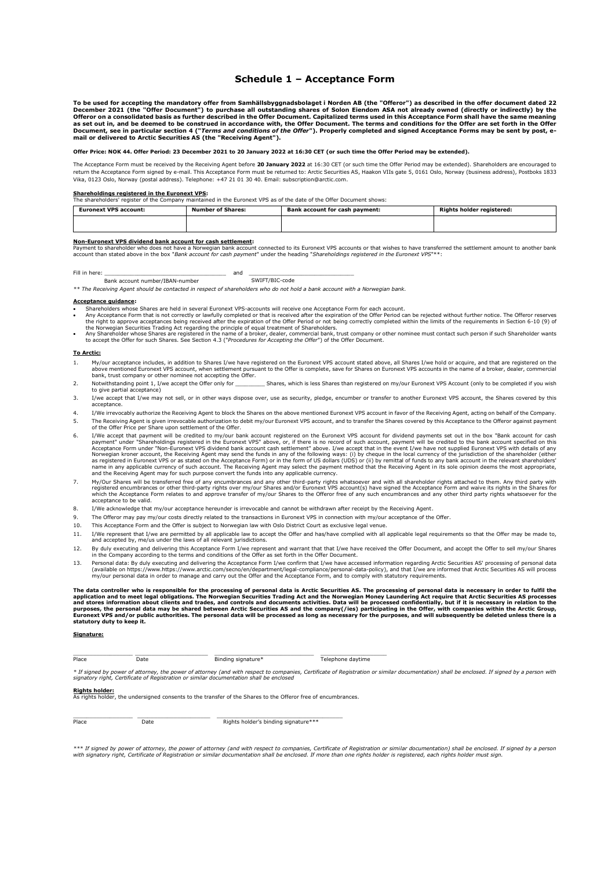#### **Schedule 1 – Acceptance Form**

To be used for accepting the mandatory offer from Samhällsbyggnadsbolaget i Norden AB (the "Offeror") as described in the offer document dated 22<br>December 2021 (the "Offer Document") to purchase all outstanding shares of S as set out in, and be deemed to be construed in accordance with, the Offer Document. The terms and conditions for the Offer are set forth in the Offer<br>Document, see in particular section 4 ("*Terms and conditions of the Of* **mail or delivered to Arctic Securities AS (the "Receiving Agent").**

#### **Offer Price: NOK 44. Offer Period: 23 December 2021 to 20 January 2022 at 16:30 CET (or such time the Offer Period may be extended).**

The Acceptance Form must be received by the Receiving Agent before **20 January 2022** at 16:30 CET (or such time the Offer Period may be extended). Shareholders are encouraged to return the Acceptance Form signed by e-mail. This Acceptance Form must be returned to: Arctic Securities AS, Haakon VIIs gate 5, 0161 Oslo, Norway (business address), Postboks 1833 Vika, 0123 Oslo, Norway (postal address). Telephone: +47 21 01 30 40. Email: subscription@arctic.com.

**Shareholdings registered in the Euronext VPS:** The shareholders' register of the Company maintained in the Euronext VPS as of the date of the Offer Document shows:

| <b>Euronext VPS account:</b> | <b>Number of Shares:</b> | Bank account for cash payment: | Rights holder registered: |
|------------------------------|--------------------------|--------------------------------|---------------------------|
|                              |                          |                                |                           |

#### **Non-Euronext VPS dividend bank account for cash settlement:**

Payment to shareholder who does not have a Norwegian bank account connected to its Euronext VPS accounts or that wishes to have transferred the settlement amount to another bank<br>account than stated above in the box "*Bank* 

Fill in here: \_\_\_\_\_\_\_\_\_\_\_\_\_\_\_\_\_\_\_\_\_\_\_\_\_\_\_\_\_\_\_\_\_\_\_\_\_ and \_\_\_\_\_\_\_\_\_\_\_\_\_\_\_\_\_\_\_\_\_\_\_\_\_\_\_\_\_\_\_\_ Bank account number/IBAN-number

*\*\* The Receiving Agent should be contacted in respect of shareholders who do not hold a bank account with a Norwegian bank.*

#### **Acceptance guidance:**

- 
- Shareholders whose Shares are held in several Euronext VPS-accounts will receive one Acceptance Form for each account.<br>The payabove of the offere research of the several experiment of the offer period can be rejected witho
- to accept the Offer for such Shares. See Sectio[n 4.3](#page-13-1) ("*[Procedures for Accepting the Offer](#page-13-1)*") of the Offer Document.

#### **To Arctic:**

- 1. My/our acceptance includes, in addition to Shares I/we have registered on the Euronext VPS account stated above, all Shares I/we hold or acquire, and that are registered on the<br>above mentioned Euronext VPS account, when bank, trust company or other nominee not accepting the Offer
- 2. Notwithstanding point 1, I/we accept the Offer only for Shares, which is less Shares than registered on my/our Euronext VPS Account (only to be completed if you wish to give partial acceptance)
- 3. I/we accept that I/we may not sell, or in other ways dispose over, use as security, pledge, encumber or transfer to another Euronext VPS account, the Shares covered by this acceptance.
- 4. I/We irrevocably authorize the Receiving Agent to block the Shares on the above mentioned Euronext VPS account in favor of the Receiving Agent, acting on behalf of the Company. 5. The Receiving Agent is given irrevocable authorization to debit my/our Euronext VPS account, and to transfer the Shares covered by this Acceptance to the Offeror against payment of the Offer Price per Share upon settlement of the Offer.
- 56. I/We accept that payment" under "Shareholdings registered in the Euronext VPS" above, or, if there is no record of such account, payment will be credited to the bank account specified on this bey "Bank account for cash
- 7. My/Our Shares will be transferred free of any encumbrances and any other third-party rights whatsoever and with all shareholder rights attached to them. Any third party with registered encumbrances or other third-party rights over my/our Shares and/or Euronext VPS account(s) have signed the Acceptance Form and waive its rights in the Shares for<br>which the Acceptance Form relates to and approve which the Acceptance<br>acceptance to be valid.
- 8. I/We acknowledge that my/our acceptance hereunder is irrevocable and cannot be withdrawn after receipt by the Receiving Agent.
- 9. The Offeror may pay my/our costs directly related to the transactions in Euronext VPS in connection with my/our acceptance of the Offer.
- 10. This Acceptance Form and the Offer is subject to Norwegian law with Oslo District Court as exclusive legal venue.
- 11. I/We represent that I/we are permitted by all applicable law to accept the Offer and has/have complied with all applicable legal requirements so that the Offer may be made to, and accepted by, me/us under the laws of all relevant jurisdictions.
- 12. By duly executing and delivering this Acceptance Form I/we represent and warrant that that I/we have received the Offer Document, and accept the Offer to sell my/our Shares in the Company according to the terms and conditions of the Offer as set forth in the Offer Document.
- 13. Personal data: By duly executing and delivering the Acceptance Form I/we confirm that I/we have accessed information regarding Arctic Securities AS' processing of personal data (available on https://www.https://www.arctic.com/secno/en/department/legal-compliance/personal-data-policy), and that I/we are informed that Arctic Securities AS will process<br>my/our personal data in order to manage and car

**The data controller who is responsible for the processing of personal data is Arctic Securities AS. The processing of personal data is necessary in order to fulfil the**  application and to meet legal obligations. The Norwegian Securities Trading Act and the Norwegian Money Laundering Act require that Arctic Securities AS processes<br>and stores information about clients and trades, and contro **statutory duty to keep it.** 

#### **Signature:**

| Place<br>. | Date<br>. | Binding<br>. signature*<br>. | ephone davtime<br>۱e۱, |
|------------|-----------|------------------------------|------------------------|

*\* If signed by power of attorney, the power of attorney (and with respect to companies, Certificate of Registration or similar documentation) shall be enclosed. If signed by a person with signatory right, Certificate of Registration or similar documentation shall be enclosed* 

**Rights holder:** As rights holder, the undersigned consents to the transfer of the Shares to the Offeror free of encumbrances.

| Place | Date | Rights holder's binding signature*** |
|-------|------|--------------------------------------|

\*\*\* If signed by power of attorney, the power of attorney (and with respect to companies, Certificate of Registration or similar documentation) shall be enclosed. If signed by a person<br>with signatory right, Certificate of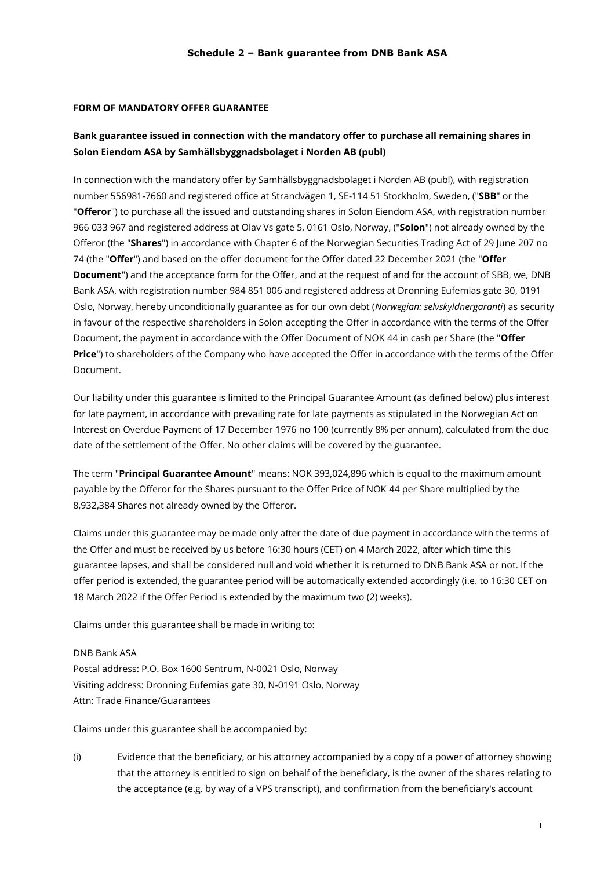#### **FORM OF MANDATORY OFFER GUARANTEE**

# **Bank guarantee issued in connection with the mandatory offer to purchase all remaining shares in Solon Eiendom ASA by Samhällsbyggnadsbolaget i Norden AB (publ)**

In connection with the mandatory offer by Samhällsbyggnadsbolaget i Norden AB (publ), with registration number 556981-7660 and registered office at Strandvägen 1, SE-114 51 Stockholm, Sweden, ("**SBB**" or the "**Offeror**") to purchase all the issued and outstanding shares in Solon Eiendom ASA, with registration number 966 033 967 and registered address at Olav Vs gate 5, 0161 Oslo, Norway, ("**Solon**") not already owned by the Offeror (the "**Shares**") in accordance with Chapter 6 of the Norwegian Securities Trading Act of 29 June 207 no 74 (the "**Offer**") and based on the offer document for the Offer dated 22 December 2021 (the "**Offer Document**") and the acceptance form for the Offer, and at the request of and for the account of SBB, we, DNB Bank ASA, with registration number 984 851 006 and registered address at Dronning Eufemias gate 30, 0191 Oslo, Norway, hereby unconditionally guarantee as for our own debt (*Norwegian: selvskyldnergaranti*) as security in favour of the respective shareholders in Solon accepting the Offer in accordance with the terms of the Offer Document, the payment in accordance with the Offer Document of NOK 44 in cash per Share (the "**Offer Price**") to shareholders of the Company who have accepted the Offer in accordance with the terms of the Offer Document.

Our liability under this guarantee is limited to the Principal Guarantee Amount (as defined below) plus interest for late payment, in accordance with prevailing rate for late payments as stipulated in the Norwegian Act on Interest on Overdue Payment of 17 December 1976 no 100 (currently 8% per annum), calculated from the due date of the settlement of the Offer. No other claims will be covered by the guarantee.

The term "**Principal Guarantee Amount**" means: NOK 393,024,896 which is equal to the maximum amount payable by the Offeror for the Shares pursuant to the Offer Price of NOK 44 per Share multiplied by the 8,932,384 Shares not already owned by the Offeror.

Claims under this guarantee may be made only after the date of due payment in accordance with the terms of the Offer and must be received by us before 16:30 hours (CET) on 4 March 2022, after which time this guarantee lapses, and shall be considered null and void whether it is returned to DNB Bank ASA or not. If the offer period is extended, the guarantee period will be automatically extended accordingly (i.e. to 16:30 CET on 18 March 2022 if the Offer Period is extended by the maximum two (2) weeks).

Claims under this guarantee shall be made in writing to:

DNB Bank ASA Postal address: P.O. Box 1600 Sentrum, N-0021 Oslo, Norway Visiting address: Dronning Eufemias gate 30, N-0191 Oslo, Norway Attn: Trade Finance/Guarantees

Claims under this guarantee shall be accompanied by:

(i) Evidence that the beneficiary, or his attorney accompanied by a copy of a power of attorney showing that the attorney is entitled to sign on behalf of the beneficiary, is the owner of the shares relating to the acceptance (e.g. by way of a VPS transcript), and confirmation from the beneficiary's account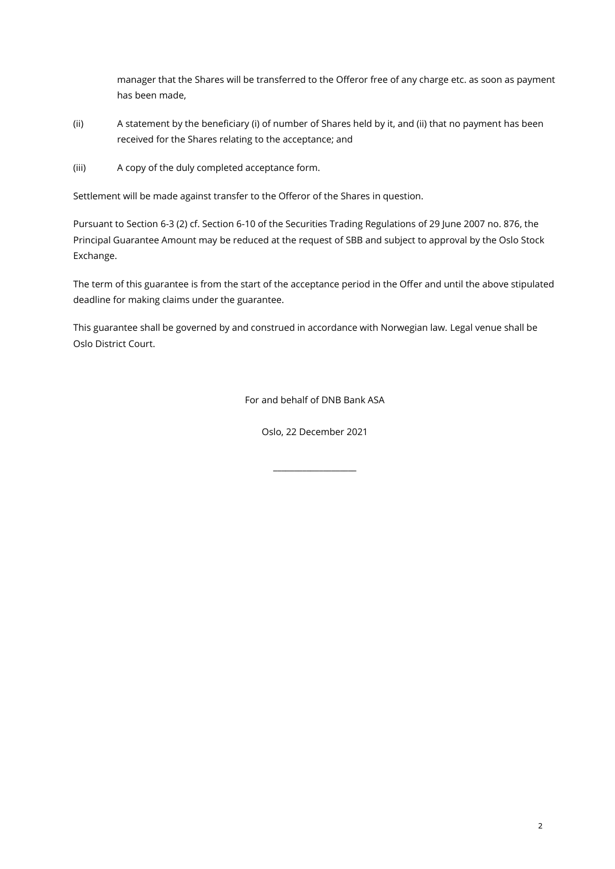manager that the Shares will be transferred to the Offeror free of any charge etc. as soon as payment has been made,

- (ii) A statement by the beneficiary (i) of number of Shares held by it, and (ii) that no payment has been received for the Shares relating to the acceptance; and
- (iii) A copy of the duly completed acceptance form.

Settlement will be made against transfer to the Offeror of the Shares in question.

Pursuant to Section 6-3 (2) cf. Section 6-10 of the Securities Trading Regulations of 29 June 2007 no. 876, the Principal Guarantee Amount may be reduced at the request of SBB and subject to approval by the Oslo Stock Exchange.

The term of this guarantee is from the start of the acceptance period in the Offer and until the above stipulated deadline for making claims under the guarantee.

This guarantee shall be governed by and construed in accordance with Norwegian law. Legal venue shall be Oslo District Court.

For and behalf of DNB Bank ASA

Oslo, 22 December 2021

 $\overline{\phantom{a}}$  , we can also the contract of  $\overline{\phantom{a}}$